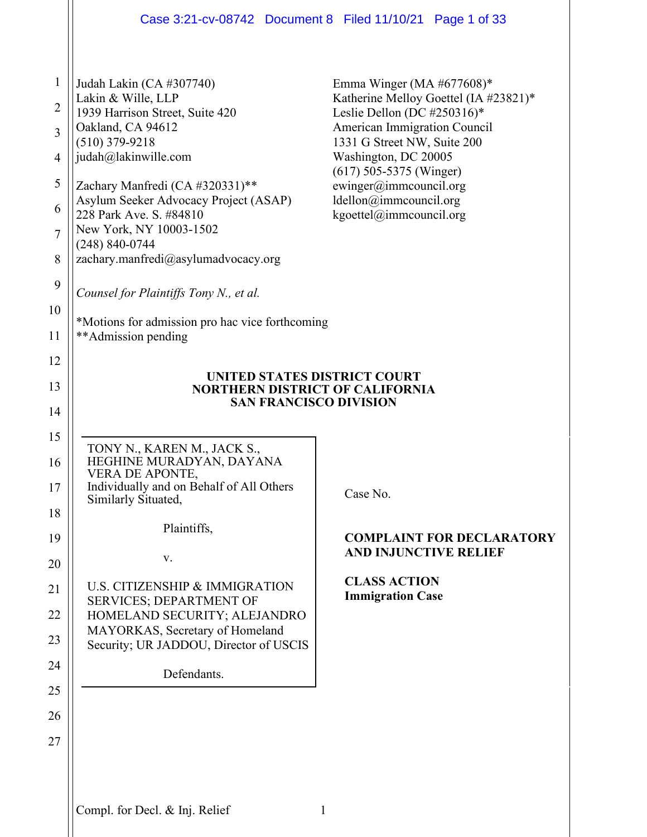| Katherine Melloy Goettel (IA #23821)*                                  |
|------------------------------------------------------------------------|
|                                                                        |
|                                                                        |
|                                                                        |
|                                                                        |
|                                                                        |
|                                                                        |
|                                                                        |
|                                                                        |
|                                                                        |
|                                                                        |
|                                                                        |
| *Motions for admission pro hac vice forthcoming<br>**Admission pending |
|                                                                        |
|                                                                        |
|                                                                        |
|                                                                        |
|                                                                        |
|                                                                        |
|                                                                        |
| <b>COMPLAINT FOR DECLARATORY</b>                                       |
| <b>AND INJUNCTIVE RELIEF</b>                                           |
|                                                                        |
|                                                                        |
|                                                                        |
|                                                                        |
|                                                                        |
|                                                                        |
|                                                                        |
|                                                                        |
|                                                                        |
|                                                                        |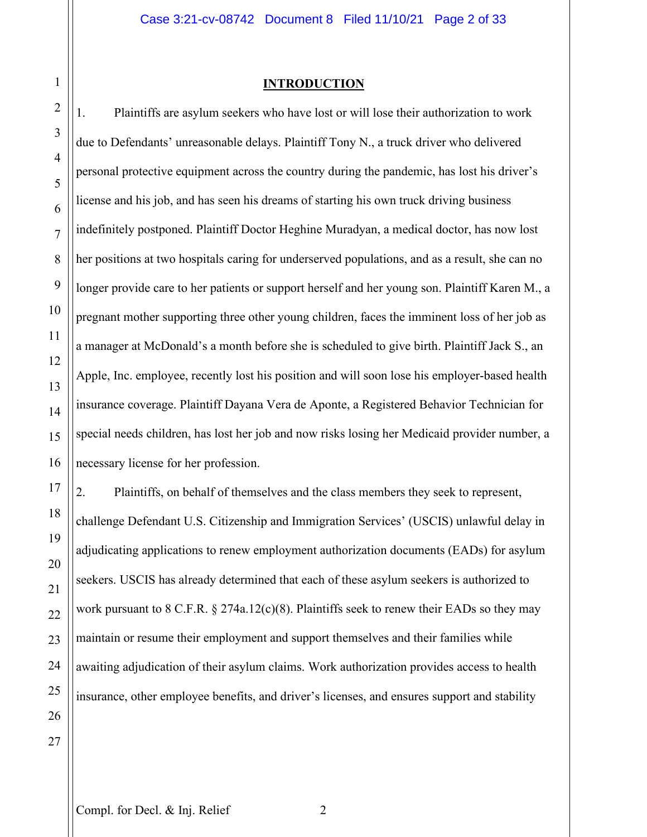**INTRODUCTION**

1. Plaintiffs are asylum seekers who have lost or will lose their authorization to work due to Defendants' unreasonable delays. Plaintiff Tony N., a truck driver who delivered personal protective equipment across the country during the pandemic, has lost his driver's license and his job, and has seen his dreams of starting his own truck driving business indefinitely postponed. Plaintiff Doctor Heghine Muradyan, a medical doctor, has now lost her positions at two hospitals caring for underserved populations, and as a result, she can no longer provide care to her patients or support herself and her young son. Plaintiff Karen M., a pregnant mother supporting three other young children, faces the imminent loss of her job as a manager at McDonald's a month before she is scheduled to give birth. Plaintiff Jack S., an Apple, Inc. employee, recently lost his position and will soon lose his employer-based health insurance coverage. Plaintiff Dayana Vera de Aponte, a Registered Behavior Technician for special needs children, has lost her job and now risks losing her Medicaid provider number, a necessary license for her profession.

2. Plaintiffs, on behalf of themselves and the class members they seek to represent, challenge Defendant U.S. Citizenship and Immigration Services' (USCIS) unlawful delay in adjudicating applications to renew employment authorization documents (EADs) for asylum seekers. USCIS has already determined that each of these asylum seekers is authorized to work pursuant to 8 C.F.R. § 274a.12(c)(8). Plaintiffs seek to renew their EADs so they may maintain or resume their employment and support themselves and their families while awaiting adjudication of their asylum claims. Work authorization provides access to health insurance, other employee benefits, and driver's licenses, and ensures support and stability

1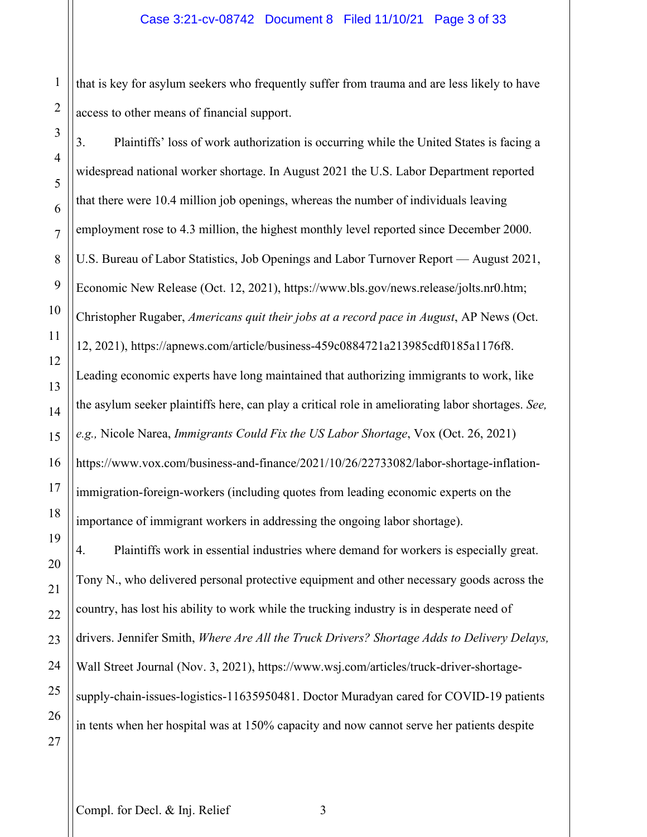1 2 that is key for asylum seekers who frequently suffer from trauma and are less likely to have access to other means of financial support.

16 3. Plaintiffs' loss of work authorization is occurring while the United States is facing a widespread national worker shortage. In August 2021 the U.S. Labor Department reported that there were 10.4 million job openings, whereas the number of individuals leaving employment rose to 4.3 million, the highest monthly level reported since December 2000. U.S. Bureau of Labor Statistics, Job Openings and Labor Turnover Report — August 2021, Economic New Release (Oct. 12, 2021), https://www.bls.gov/news.release/jolts.nr0.htm; Christopher Rugaber, *Americans quit their jobs at a record pace in August*, AP News (Oct. 12, 2021), https://apnews.com/article/business-459c0884721a213985cdf0185a1176f8. Leading economic experts have long maintained that authorizing immigrants to work, like the asylum seeker plaintiffs here, can play a critical role in ameliorating labor shortages. *See, e.g.,* Nicole Narea, *Immigrants Could Fix the US Labor Shortage*, Vox (Oct. 26, 2021) https://www.vox.com/business-and-finance/2021/10/26/22733082/labor-shortage-inflationimmigration-foreign-workers (including quotes from leading economic experts on the importance of immigrant workers in addressing the ongoing labor shortage). 4. Plaintiffs work in essential industries where demand for workers is especially great. Tony N., who delivered personal protective equipment and other necessary goods across the country, has lost his ability to work while the trucking industry is in desperate need of drivers. Jennifer Smith, *Where Are All the Truck Drivers? Shortage Adds to Delivery Delays,*  Wall Street Journal (Nov. 3, 2021), https://www.wsj.com/articles/truck-driver-shortagesupply-chain-issues-logistics-11635950481. Doctor Muradyan cared for COVID-19 patients in tents when her hospital was at 150% capacity and now cannot serve her patients despite

3

4

5

6

7

8

9

10

11

12

13

14

15

17

18

19

20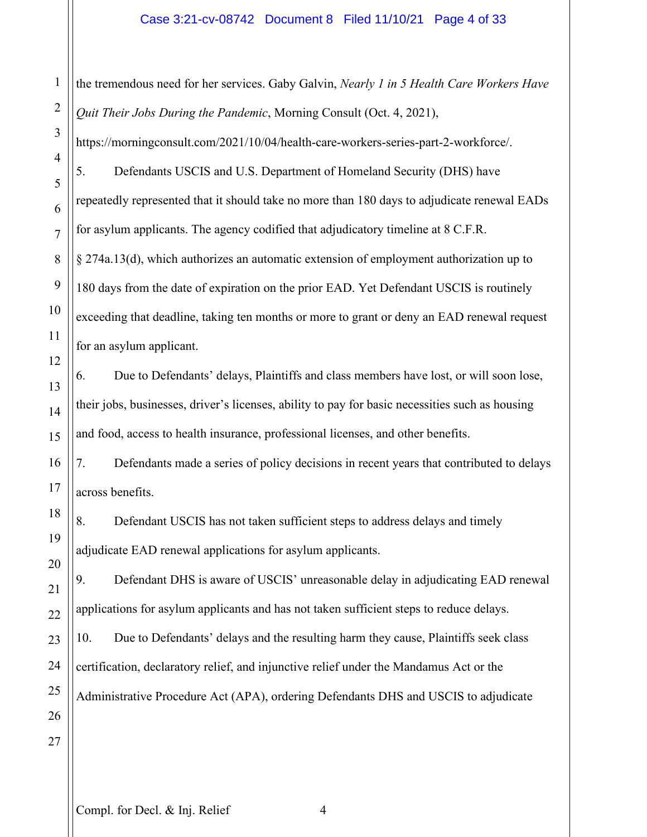## Case 3:21-cv-08742 Document 8 Filed 11/10/21 Page 4 of 33

1 2 3 4 5 6 7 8 9 10 11 12 13 14 15 16 17 18 19 20 21 22 23 24 25 26 27 the tremendous need for her services. Gaby Galvin, *Nearly 1 in 5 Health Care Workers Have Quit Their Jobs During the Pandemic*, Morning Consult (Oct. 4, 2021), https://morningconsult.com/2021/10/04/health-care-workers-series-part-2-workforce/. 5. Defendants USCIS and U.S. Department of Homeland Security (DHS) have repeatedly represented that it should take no more than 180 days to adjudicate renewal EADs for asylum applicants. The agency codified that adjudicatory timeline at 8 C.F.R. § 274a.13(d), which authorizes an automatic extension of employment authorization up to 180 days from the date of expiration on the prior EAD. Yet Defendant USCIS is routinely exceeding that deadline, taking ten months or more to grant or deny an EAD renewal request for an asylum applicant. 6. Due to Defendants' delays, Plaintiffs and class members have lost, or will soon lose, their jobs, businesses, driver's licenses, ability to pay for basic necessities such as housing and food, access to health insurance, professional licenses, and other benefits. 7. Defendants made a series of policy decisions in recent years that contributed to delays across benefits. 8. Defendant USCIS has not taken sufficient steps to address delays and timely adjudicate EAD renewal applications for asylum applicants. 9. Defendant DHS is aware of USCIS' unreasonable delay in adjudicating EAD renewal applications for asylum applicants and has not taken sufficient steps to reduce delays. 10. Due to Defendants' delays and the resulting harm they cause, Plaintiffs seek class certification, declaratory relief, and injunctive relief under the Mandamus Act or the Administrative Procedure Act (APA), ordering Defendants DHS and USCIS to adjudicate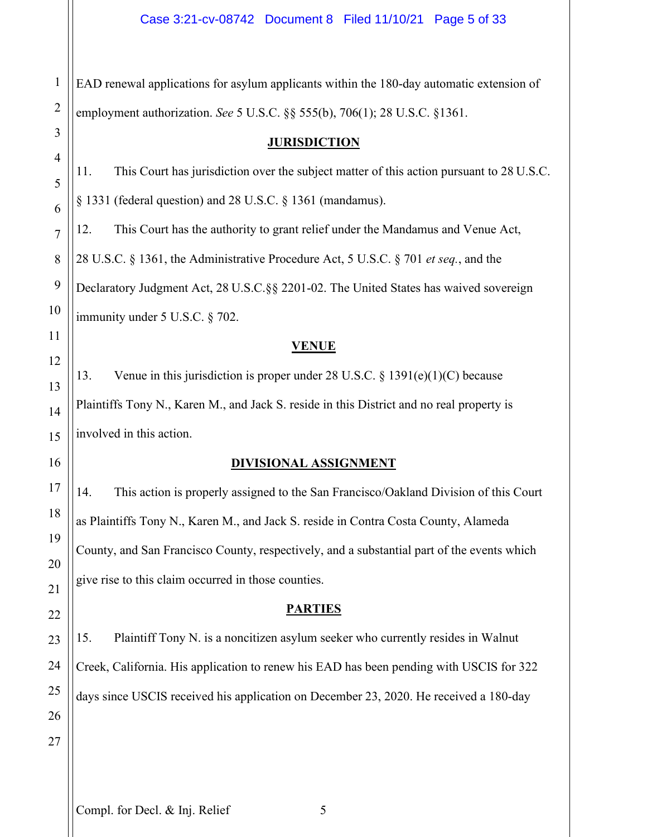1 EAD renewal applications for asylum applicants within the 180-day automatic extension of employment authorization. *See* 5 U.S.C. §§ 555(b), 706(1); 28 U.S.C. §1361.

## **JURISDICTION**

11. This Court has jurisdiction over the subject matter of this action pursuant to 28 U.S.C.

§ 1331 (federal question) and 28 U.S.C. § 1361 (mandamus).

12. This Court has the authority to grant relief under the Mandamus and Venue Act,

28 U.S.C. § 1361, the Administrative Procedure Act, 5 U.S.C. § 701 *et seq.*, and the

Declaratory Judgment Act, 28 U.S.C.§§ 2201-02. The United States has waived sovereign immunity under 5 U.S.C. § 702.

## **VENUE**

13. Venue in this jurisdiction is proper under 28 U.S.C. § 1391(e)(1)(C) because Plaintiffs Tony N., Karen M., and Jack S. reside in this District and no real property is involved in this action.

## **DIVISIONAL ASSIGNMENT**

14. This action is properly assigned to the San Francisco/Oakland Division of this Court as Plaintiffs Tony N., Karen M., and Jack S. reside in Contra Costa County, Alameda County, and San Francisco County, respectively, and a substantial part of the events which give rise to this claim occurred in those counties.

## **PARTIES**

15. Plaintiff Tony N. is a noncitizen asylum seeker who currently resides in Walnut Creek, California. His application to renew his EAD has been pending with USCIS for 322 days since USCIS received his application on December 23, 2020. He received a 180-day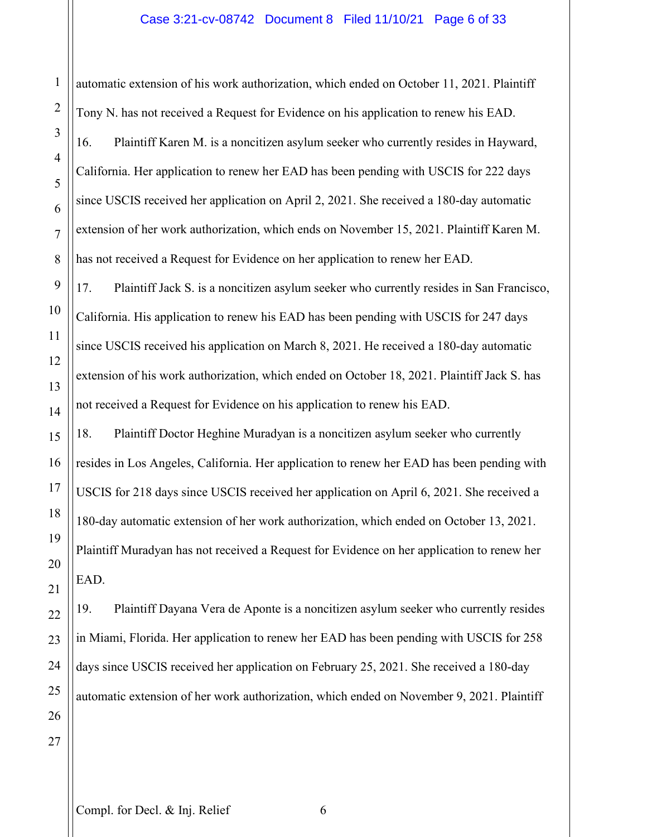automatic extension of his work authorization, which ended on October 11, 2021. Plaintiff Tony N. has not received a Request for Evidence on his application to renew his EAD. 16. Plaintiff Karen M. is a noncitizen asylum seeker who currently resides in Hayward, California. Her application to renew her EAD has been pending with USCIS for 222 days since USCIS received her application on April 2, 2021. She received a 180-day automatic extension of her work authorization, which ends on November 15, 2021. Plaintiff Karen M. has not received a Request for Evidence on her application to renew her EAD.

17. Plaintiff Jack S. is a noncitizen asylum seeker who currently resides in San Francisco, California. His application to renew his EAD has been pending with USCIS for 247 days since USCIS received his application on March 8, 2021. He received a 180-day automatic extension of his work authorization, which ended on October 18, 2021. Plaintiff Jack S. has not received a Request for Evidence on his application to renew his EAD.

18. Plaintiff Doctor Heghine Muradyan is a noncitizen asylum seeker who currently resides in Los Angeles, California. Her application to renew her EAD has been pending with USCIS for 218 days since USCIS received her application on April 6, 2021. She received a 180-day automatic extension of her work authorization, which ended on October 13, 2021. Plaintiff Muradyan has not received a Request for Evidence on her application to renew her EAD.

19. Plaintiff Dayana Vera de Aponte is a noncitizen asylum seeker who currently resides in Miami, Florida. Her application to renew her EAD has been pending with USCIS for 258 days since USCIS received her application on February 25, 2021. She received a 180-day automatic extension of her work authorization, which ended on November 9, 2021. Plaintiff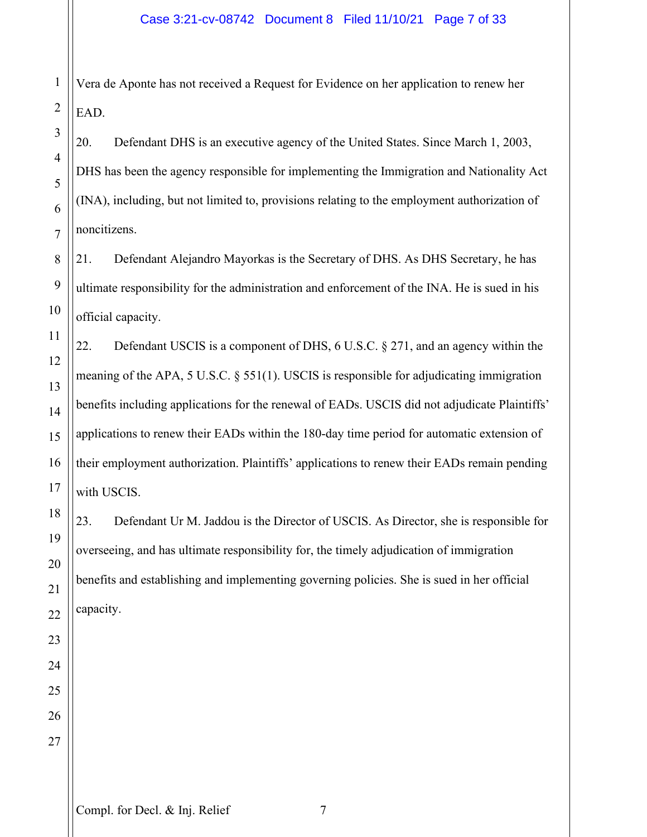1 2 Vera de Aponte has not received a Request for Evidence on her application to renew her EAD.

20. Defendant DHS is an executive agency of the United States. Since March 1, 2003, DHS has been the agency responsible for implementing the Immigration and Nationality Act (INA), including, but not limited to, provisions relating to the employment authorization of noncitizens.

21. Defendant Alejandro Mayorkas is the Secretary of DHS. As DHS Secretary, he has ultimate responsibility for the administration and enforcement of the INA. He is sued in his official capacity.

22. Defendant USCIS is a component of DHS,  $6$  U.S.C.  $§$  271, and an agency within the meaning of the APA, 5 U.S.C. § 551(1). USCIS is responsible for adjudicating immigration benefits including applications for the renewal of EADs. USCIS did not adjudicate Plaintiffs' applications to renew their EADs within the 180-day time period for automatic extension of their employment authorization. Plaintiffs' applications to renew their EADs remain pending with USCIS.

23. Defendant Ur M. Jaddou is the Director of USCIS. As Director, she is responsible for overseeing, and has ultimate responsibility for, the timely adjudication of immigration benefits and establishing and implementing governing policies. She is sued in her official capacity.

27

3

4

5

6

7

8

9

10

11

12

13

14

15

16

17

18

19

20

21

22

23

24

25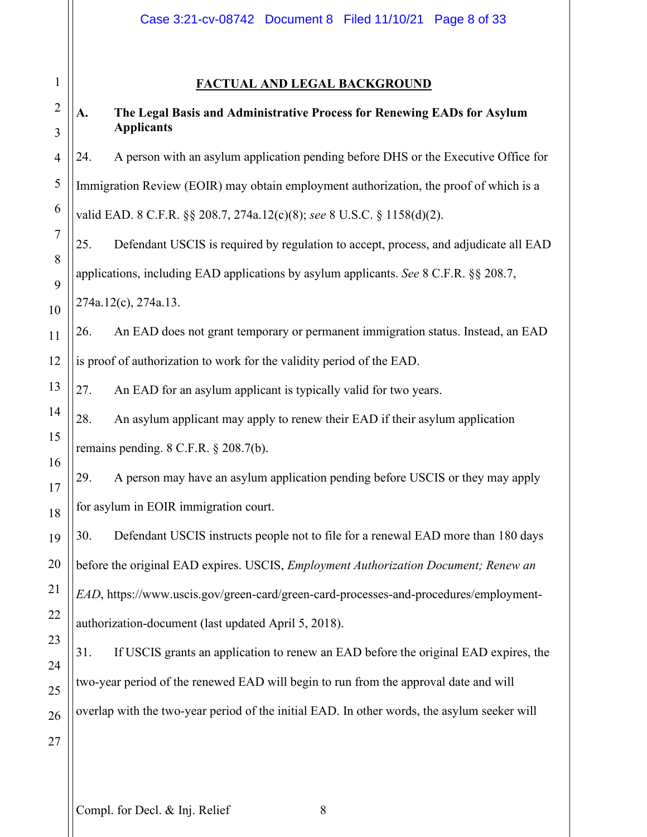## **FACTUAL AND LEGAL BACKGROUND**

## **A. The Legal Basis and Administrative Process for Renewing EADs for Asylum Applicants**

24. A person with an asylum application pending before DHS or the Executive Office for Immigration Review (EOIR) may obtain employment authorization, the proof of which is a valid EAD. 8 C.F.R. §§ 208.7, 274a.12(c)(8); *see* 8 U.S.C. § 1158(d)(2).

25. Defendant USCIS is required by regulation to accept, process, and adjudicate all EAD applications, including EAD applications by asylum applicants. *See* 8 C.F.R. §§ 208.7, 274a.12(c), 274a.13.

26. An EAD does not grant temporary or permanent immigration status. Instead, an EAD is proof of authorization to work for the validity period of the EAD.

27. An EAD for an asylum applicant is typically valid for two years.

28. An asylum applicant may apply to renew their EAD if their asylum application remains pending. 8 C.F.R. § 208.7(b).

29. A person may have an asylum application pending before USCIS or they may apply for asylum in EOIR immigration court.

30. Defendant USCIS instructs people not to file for a renewal EAD more than 180 days before the original EAD expires. USCIS, *Employment Authorization Document; Renew an EAD*, https://www.uscis.gov/green-card/green-card-processes-and-procedures/employmentauthorization-document (last updated April 5, 2018).

31. If USCIS grants an application to renew an EAD before the original EAD expires, the two-year period of the renewed EAD will begin to run from the approval date and will overlap with the two-year period of the initial EAD. In other words, the asylum seeker will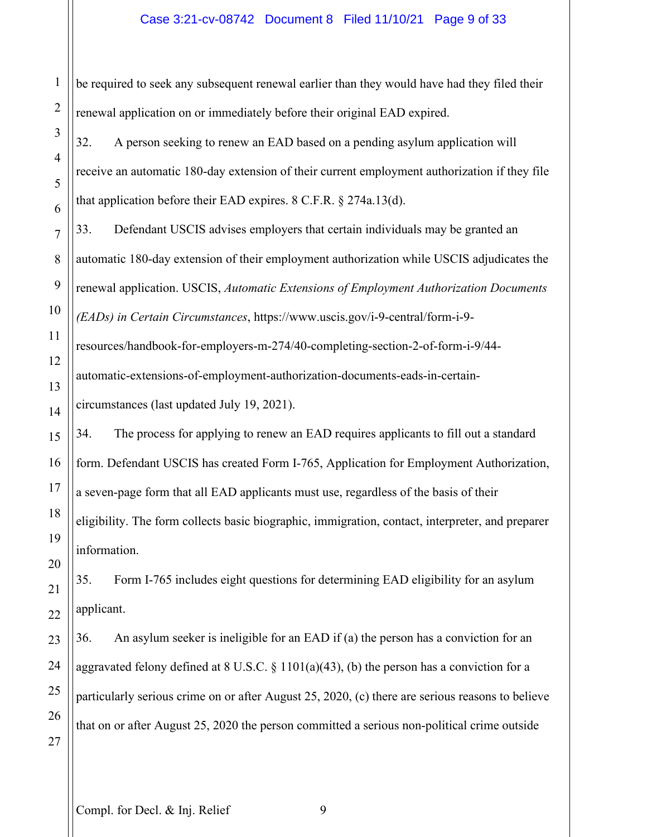## Case 3:21-cv-08742 Document 8 Filed 11/10/21 Page 9 of 33

be required to seek any subsequent renewal earlier than they would have had they filed their renewal application on or immediately before their original EAD expired.

32. A person seeking to renew an EAD based on a pending asylum application will receive an automatic 180-day extension of their current employment authorization if they file that application before their EAD expires. 8 C.F.R. § 274a.13(d).

33. Defendant USCIS advises employers that certain individuals may be granted an automatic 180-day extension of their employment authorization while USCIS adjudicates the renewal application. USCIS, *Automatic Extensions of Employment Authorization Documents (EADs) in Certain Circumstances*, https://www.uscis.gov/i-9-central/form-i-9-

resources/handbook-for-employers-m-274/40-completing-section-2-of-form-i-9/44 automatic-extensions-of-employment-authorization-documents-eads-in-certain-

circumstances (last updated July 19, 2021).

34. The process for applying to renew an EAD requires applicants to fill out a standard form. Defendant USCIS has created Form I-765, Application for Employment Authorization, a seven-page form that all EAD applicants must use, regardless of the basis of their eligibility. The form collects basic biographic, immigration, contact, interpreter, and preparer information.

35. Form I-765 includes eight questions for determining EAD eligibility for an asylum applicant.

36. An asylum seeker is ineligible for an EAD if (a) the person has a conviction for an aggravated felony defined at 8 U.S.C.  $\S$  1101(a)(43), (b) the person has a conviction for a particularly serious crime on or after August 25, 2020, (c) there are serious reasons to believe that on or after August 25, 2020 the person committed a serious non-political crime outside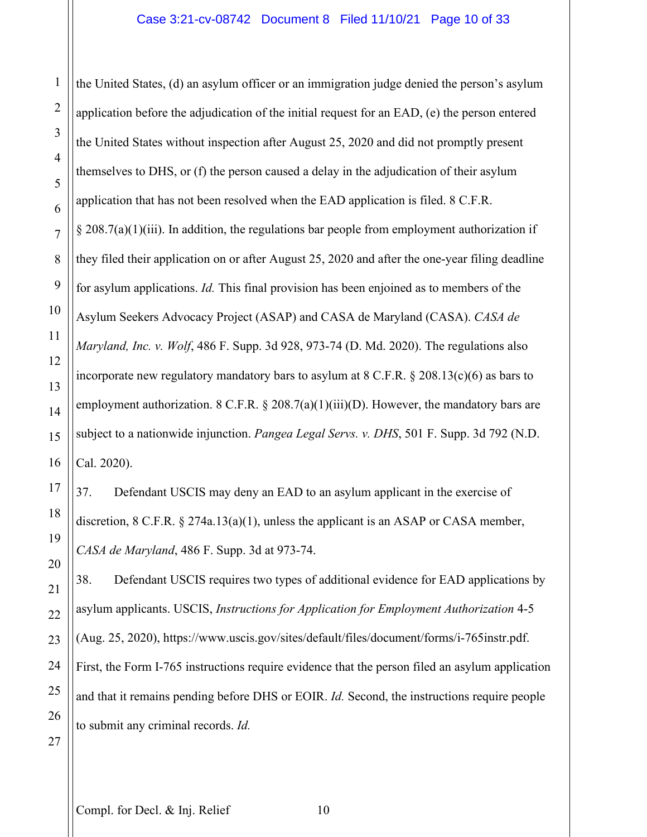the United States, (d) an asylum officer or an immigration judge denied the person's asylum application before the adjudication of the initial request for an EAD, (e) the person entered the United States without inspection after August 25, 2020 and did not promptly present themselves to DHS, or (f) the person caused a delay in the adjudication of their asylum application that has not been resolved when the EAD application is filed. 8 C.F.R.  $\S 208.7(a)(1)(iii)$ . In addition, the regulations bar people from employment authorization if they filed their application on or after August 25, 2020 and after the one-year filing deadline for asylum applications. *Id.* This final provision has been enjoined as to members of the Asylum Seekers Advocacy Project (ASAP) and CASA de Maryland (CASA). *CASA de Maryland, Inc. v. Wolf*, 486 F. Supp. 3d 928, 973-74 (D. Md. 2020). The regulations also incorporate new regulatory mandatory bars to asylum at 8 C.F.R. § 208.13(c)(6) as bars to employment authorization. 8 C.F.R.  $\S 208.7(a)(1)(iii)(D)$ . However, the mandatory bars are subject to a nationwide injunction. *Pangea Legal Servs. v. DHS*, 501 F. Supp. 3d 792 (N.D. Cal. 2020).

37. Defendant USCIS may deny an EAD to an asylum applicant in the exercise of discretion,  $8 \text{ C.F.R. } \frac{274a.13(a)(1)}{2}$ , unless the applicant is an ASAP or CASA member, *CASA de Maryland*, 486 F. Supp. 3d at 973-74.

38. Defendant USCIS requires two types of additional evidence for EAD applications by asylum applicants. USCIS, *Instructions for Application for Employment Authorization* 4-5 (Aug. 25, 2020), https://www.uscis.gov/sites/default/files/document/forms/i-765instr.pdf. First, the Form I-765 instructions require evidence that the person filed an asylum application and that it remains pending before DHS or EOIR. *Id.* Second, the instructions require people to submit any criminal records. *Id.*

1

2

3

4

5

6

7

8

9

10

11

12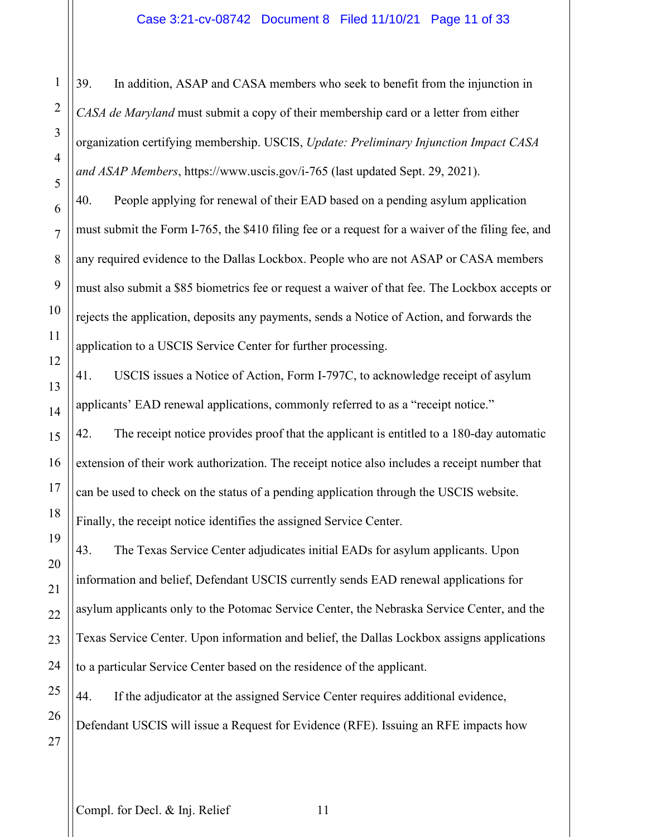## Case 3:21-cv-08742 Document 8 Filed 11/10/21 Page 11 of 33

1 39. In addition, ASAP and CASA members who seek to benefit from the injunction in *CASA de Maryland* must submit a copy of their membership card or a letter from either organization certifying membership. USCIS, *Update: Preliminary Injunction Impact CASA and ASAP Members*, https://www.uscis.gov/i-765 (last updated Sept. 29, 2021).

40. People applying for renewal of their EAD based on a pending asylum application must submit the Form I-765, the \$410 filing fee or a request for a waiver of the filing fee, and any required evidence to the Dallas Lockbox. People who are not ASAP or CASA members must also submit a \$85 biometrics fee or request a waiver of that fee. The Lockbox accepts or rejects the application, deposits any payments, sends a Notice of Action, and forwards the application to a USCIS Service Center for further processing.

41. USCIS issues a Notice of Action, Form I-797C, to acknowledge receipt of asylum applicants' EAD renewal applications, commonly referred to as a "receipt notice."

42. The receipt notice provides proof that the applicant is entitled to a 180-day automatic extension of their work authorization. The receipt notice also includes a receipt number that can be used to check on the status of a pending application through the USCIS website. Finally, the receipt notice identifies the assigned Service Center.

43. The Texas Service Center adjudicates initial EADs for asylum applicants. Upon information and belief, Defendant USCIS currently sends EAD renewal applications for asylum applicants only to the Potomac Service Center, the Nebraska Service Center, and the Texas Service Center. Upon information and belief, the Dallas Lockbox assigns applications to a particular Service Center based on the residence of the applicant.

44. If the adjudicator at the assigned Service Center requires additional evidence, Defendant USCIS will issue a Request for Evidence (RFE). Issuing an RFE impacts how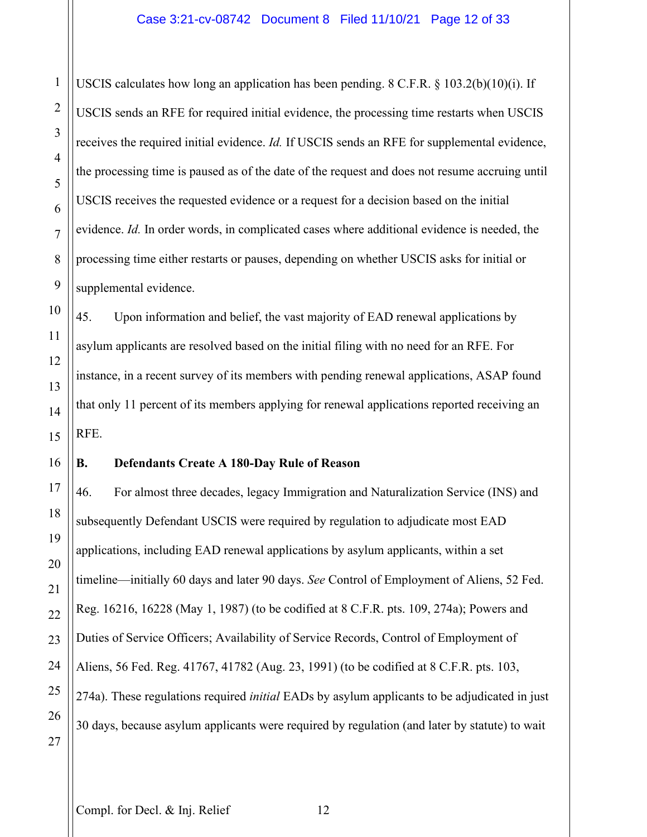USCIS calculates how long an application has been pending. 8 C.F.R. § 103.2(b)(10)(i). If USCIS sends an RFE for required initial evidence, the processing time restarts when USCIS receives the required initial evidence. *Id.* If USCIS sends an RFE for supplemental evidence, the processing time is paused as of the date of the request and does not resume accruing until USCIS receives the requested evidence or a request for a decision based on the initial evidence. *Id.* In order words, in complicated cases where additional evidence is needed, the processing time either restarts or pauses, depending on whether USCIS asks for initial or supplemental evidence.

45. Upon information and belief, the vast majority of EAD renewal applications by asylum applicants are resolved based on the initial filing with no need for an RFE. For instance, in a recent survey of its members with pending renewal applications, ASAP found that only 11 percent of its members applying for renewal applications reported receiving an RFE.

## **B. Defendants Create A 180-Day Rule of Reason**

46. For almost three decades, legacy Immigration and Naturalization Service (INS) and subsequently Defendant USCIS were required by regulation to adjudicate most EAD applications, including EAD renewal applications by asylum applicants, within a set timeline—initially 60 days and later 90 days. *See* Control of Employment of Aliens, 52 Fed. Reg. 16216, 16228 (May 1, 1987) (to be codified at 8 C.F.R. pts. 109, 274a); Powers and Duties of Service Officers; Availability of Service Records, Control of Employment of Aliens, 56 Fed. Reg. 41767, 41782 (Aug. 23, 1991) (to be codified at 8 C.F.R. pts. 103, 274a). These regulations required *initial* EADs by asylum applicants to be adjudicated in just 30 days, because asylum applicants were required by regulation (and later by statute) to wait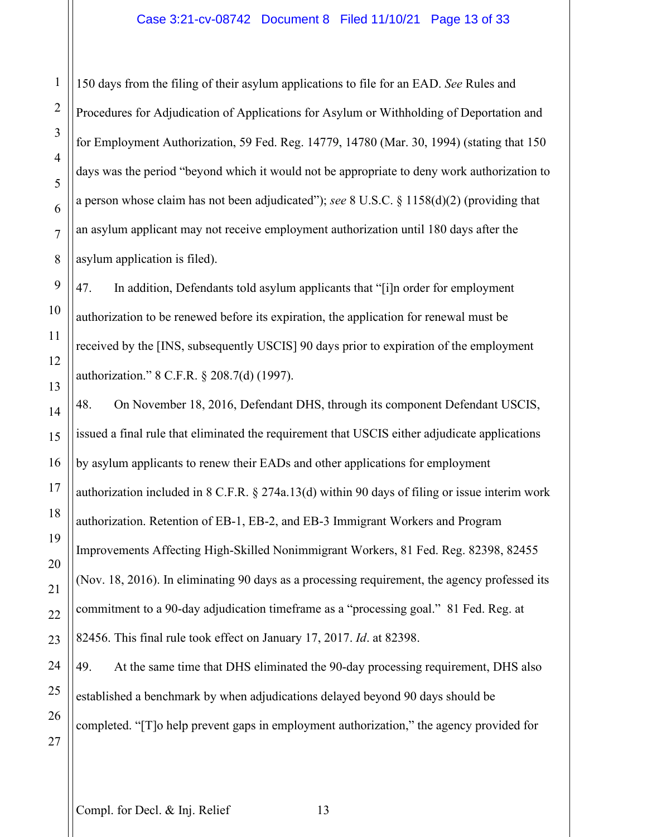## Case 3:21-cv-08742 Document 8 Filed 11/10/21 Page 13 of 33

150 days from the filing of their asylum applications to file for an EAD. *See* Rules and Procedures for Adjudication of Applications for Asylum or Withholding of Deportation and for Employment Authorization, 59 Fed. Reg. 14779, 14780 (Mar. 30, 1994) (stating that 150 days was the period "beyond which it would not be appropriate to deny work authorization to a person whose claim has not been adjudicated"); *see* 8 U.S.C. § 1158(d)(2) (providing that an asylum applicant may not receive employment authorization until 180 days after the asylum application is filed).

47. In addition, Defendants told asylum applicants that "[i]n order for employment authorization to be renewed before its expiration, the application for renewal must be received by the [INS, subsequently USCIS] 90 days prior to expiration of the employment authorization." 8 C.F.R. § 208.7(d) (1997).

48. On November 18, 2016, Defendant DHS, through its component Defendant USCIS, issued a final rule that eliminated the requirement that USCIS either adjudicate applications by asylum applicants to renew their EADs and other applications for employment authorization included in 8 C.F.R. § 274a.13(d) within 90 days of filing or issue interim work authorization. Retention of EB-1, EB-2, and EB-3 Immigrant Workers and Program Improvements Affecting High-Skilled Nonimmigrant Workers, 81 Fed. Reg. 82398, 82455 (Nov. 18, 2016). In eliminating 90 days as a processing requirement, the agency professed its commitment to a 90-day adjudication timeframe as a "processing goal." 81 Fed. Reg. at 82456. This final rule took effect on January 17, 2017. *Id*. at 82398.

49. At the same time that DHS eliminated the 90-day processing requirement, DHS also established a benchmark by when adjudications delayed beyond 90 days should be completed. "[T]o help prevent gaps in employment authorization," the agency provided for

1

2

3

4

5

6

7

8

9

10

11

12

13

14

15

16

17

18

19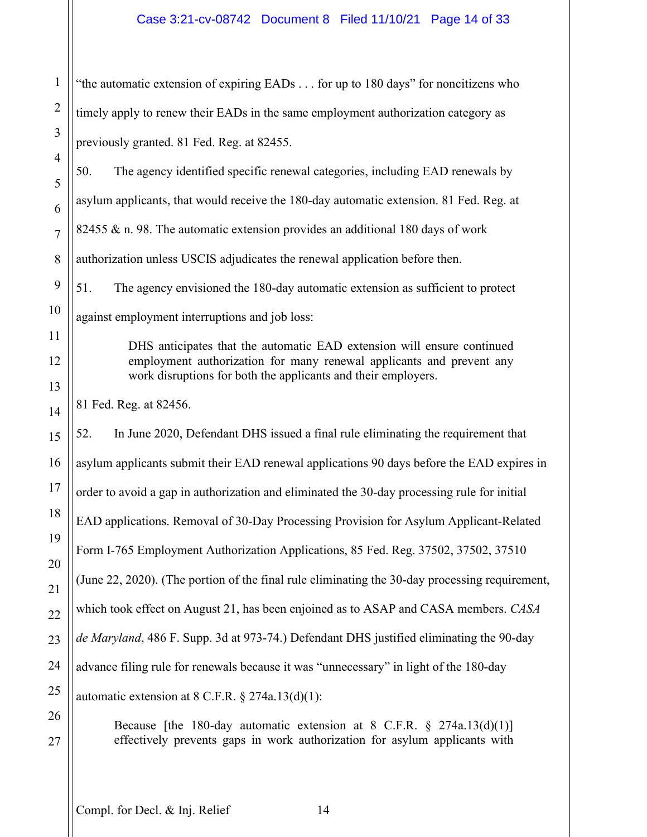1 2 3 "the automatic extension of expiring EADs . . . for up to 180 days" for noncitizens who timely apply to renew their EADs in the same employment authorization category as previously granted. 81 Fed. Reg. at 82455.

50. The agency identified specific renewal categories, including EAD renewals by asylum applicants, that would receive the 180-day automatic extension. 81 Fed. Reg. at 82455 & n. 98. The automatic extension provides an additional 180 days of work authorization unless USCIS adjudicates the renewal application before then.

51. The agency envisioned the 180-day automatic extension as sufficient to protect against employment interruptions and job loss:

> DHS anticipates that the automatic EAD extension will ensure continued employment authorization for many renewal applicants and prevent any work disruptions for both the applicants and their employers.

81 Fed. Reg. at 82456.

4

5

6

7

8

9

10

11

12

13

14

15

16

17

18

19

20

21

22

23

24

25

26

27

52. In June 2020, Defendant DHS issued a final rule eliminating the requirement that asylum applicants submit their EAD renewal applications 90 days before the EAD expires in order to avoid a gap in authorization and eliminated the 30-day processing rule for initial EAD applications. Removal of 30-Day Processing Provision for Asylum Applicant-Related Form I-765 Employment Authorization Applications, 85 Fed. Reg. 37502, 37502, 37510 (June 22, 2020). (The portion of the final rule eliminating the 30-day processing requirement, which took effect on August 21, has been enjoined as to ASAP and CASA members. *CASA de Maryland*, 486 F. Supp. 3d at 973-74.) Defendant DHS justified eliminating the 90-day advance filing rule for renewals because it was "unnecessary" in light of the 180-day automatic extension at  $8 \text{ C.F.R.}$   $\S 274a.13(d)(1)$ :

Because [the 180-day automatic extension at 8 C.F.R. § 274a.13(d)(1)] effectively prevents gaps in work authorization for asylum applicants with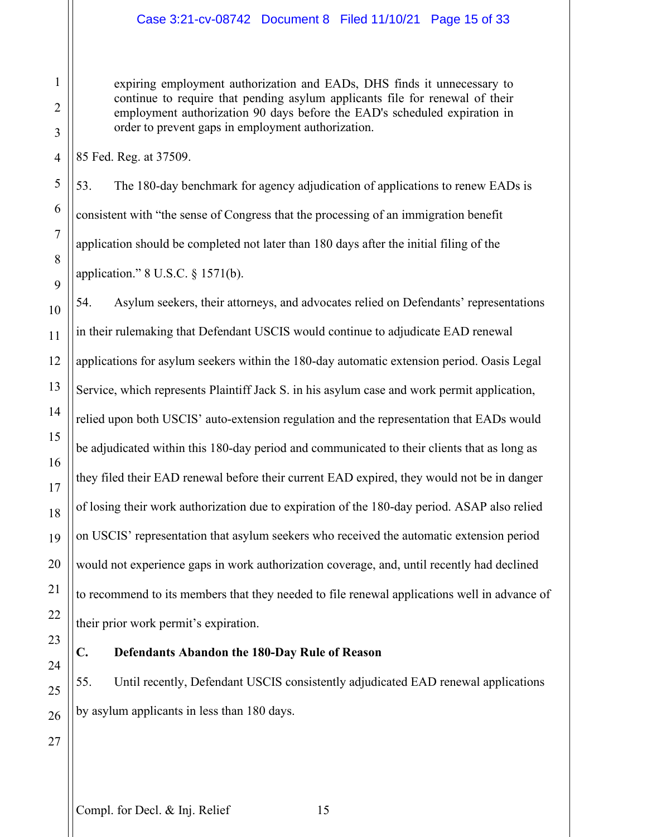expiring employment authorization and EADs, DHS finds it unnecessary to continue to require that pending asylum applicants file for renewal of their employment authorization 90 days before the EAD's scheduled expiration in order to prevent gaps in employment authorization.

85 Fed. Reg. at 37509.

53. The 180-day benchmark for agency adjudication of applications to renew EADs is consistent with "the sense of Congress that the processing of an immigration benefit application should be completed not later than 180 days after the initial filing of the application." 8 U.S.C. § 1571(b).

54. Asylum seekers, their attorneys, and advocates relied on Defendants' representations in their rulemaking that Defendant USCIS would continue to adjudicate EAD renewal applications for asylum seekers within the 180-day automatic extension period. Oasis Legal Service, which represents Plaintiff Jack S. in his asylum case and work permit application, relied upon both USCIS' auto-extension regulation and the representation that EADs would be adjudicated within this 180-day period and communicated to their clients that as long as they filed their EAD renewal before their current EAD expired, they would not be in danger of losing their work authorization due to expiration of the 180-day period. ASAP also relied on USCIS' representation that asylum seekers who received the automatic extension period would not experience gaps in work authorization coverage, and, until recently had declined to recommend to its members that they needed to file renewal applications well in advance of their prior work permit's expiration.

## **C. Defendants Abandon the 180-Day Rule of Reason**

55. Until recently, Defendant USCIS consistently adjudicated EAD renewal applications by asylum applicants in less than 180 days.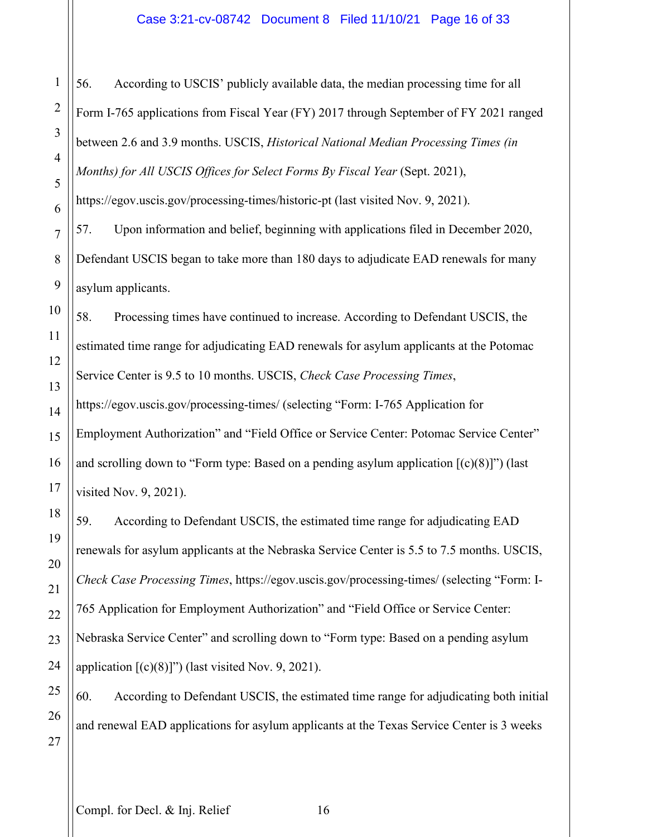## Case 3:21-cv-08742 Document 8 Filed 11/10/21 Page 16 of 33

56. According to USCIS' publicly available data, the median processing time for all Form I-765 applications from Fiscal Year (FY) 2017 through September of FY 2021 ranged between 2.6 and 3.9 months. USCIS, *Historical National Median Processing Times (in Months) for All USCIS Offices for Select Forms By Fiscal Year* (Sept. 2021),

https://egov.uscis.gov/processing-times/historic-pt (last visited Nov. 9, 2021).

57. Upon information and belief, beginning with applications filed in December 2020, Defendant USCIS began to take more than 180 days to adjudicate EAD renewals for many asylum applicants.

58. Processing times have continued to increase. According to Defendant USCIS, the estimated time range for adjudicating EAD renewals for asylum applicants at the Potomac Service Center is 9.5 to 10 months. USCIS, *Check Case Processing Times*,

https://egov.uscis.gov/processing-times/ (selecting "Form: I-765 Application for Employment Authorization" and "Field Office or Service Center: Potomac Service Center" and scrolling down to "Form type: Based on a pending asylum application  $[(c)(8)]$ ") (last visited Nov. 9, 2021).

59. According to Defendant USCIS, the estimated time range for adjudicating EAD renewals for asylum applicants at the Nebraska Service Center is 5.5 to 7.5 months. USCIS, *Check Case Processing Times*, https://egov.uscis.gov/processing-times/ (selecting "Form: I-765 Application for Employment Authorization" and "Field Office or Service Center: Nebraska Service Center" and scrolling down to "Form type: Based on a pending asylum application  $[(c)(8)]$ ") (last visited Nov. 9, 2021).

60. According to Defendant USCIS, the estimated time range for adjudicating both initial and renewal EAD applications for asylum applicants at the Texas Service Center is 3 weeks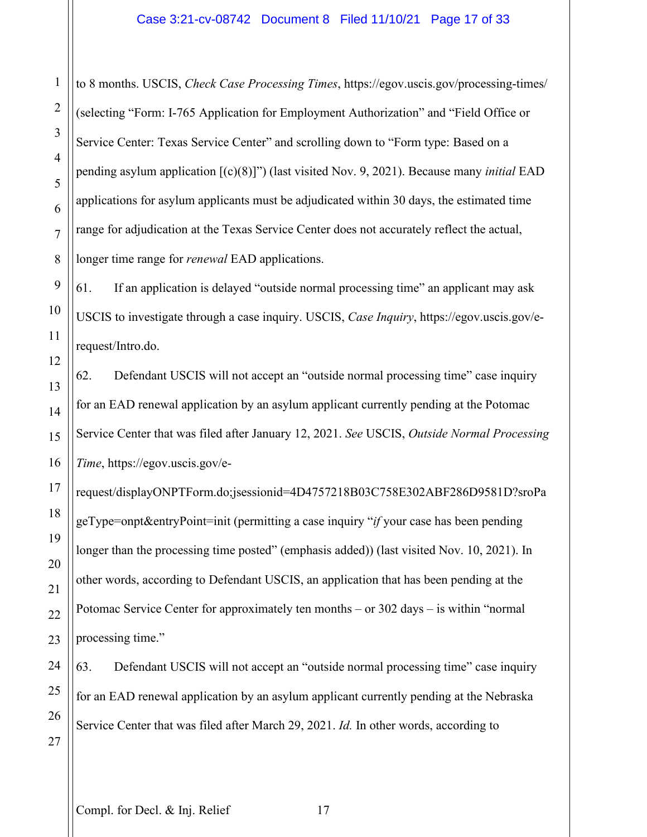to 8 months. USCIS, *Check Case Processing Times*, https://egov.uscis.gov/processing-times/ (selecting "Form: I-765 Application for Employment Authorization" and "Field Office or Service Center: Texas Service Center" and scrolling down to "Form type: Based on a pending asylum application [(c)(8)]") (last visited Nov. 9, 2021). Because many *initial* EAD applications for asylum applicants must be adjudicated within 30 days, the estimated time range for adjudication at the Texas Service Center does not accurately reflect the actual, longer time range for *renewal* EAD applications.

61. If an application is delayed "outside normal processing time" an applicant may ask USCIS to investigate through a case inquiry. USCIS, *Case Inquiry*, https://egov.uscis.gov/erequest/Intro.do.

62. Defendant USCIS will not accept an "outside normal processing time" case inquiry for an EAD renewal application by an asylum applicant currently pending at the Potomac Service Center that was filed after January 12, 2021. *See* USCIS, *Outside Normal Processing Time*, https://egov.uscis.gov/e-

request/displayONPTForm.do;jsessionid=4D4757218B03C758E302ABF286D9581D?sroPa geType=onpt&entryPoint=init (permitting a case inquiry "*if* your case has been pending longer than the processing time posted" (emphasis added)) (last visited Nov. 10, 2021). In other words, according to Defendant USCIS, an application that has been pending at the Potomac Service Center for approximately ten months – or 302 days – is within "normal processing time."

63. Defendant USCIS will not accept an "outside normal processing time" case inquiry for an EAD renewal application by an asylum applicant currently pending at the Nebraska Service Center that was filed after March 29, 2021. *Id.* In other words, according to

1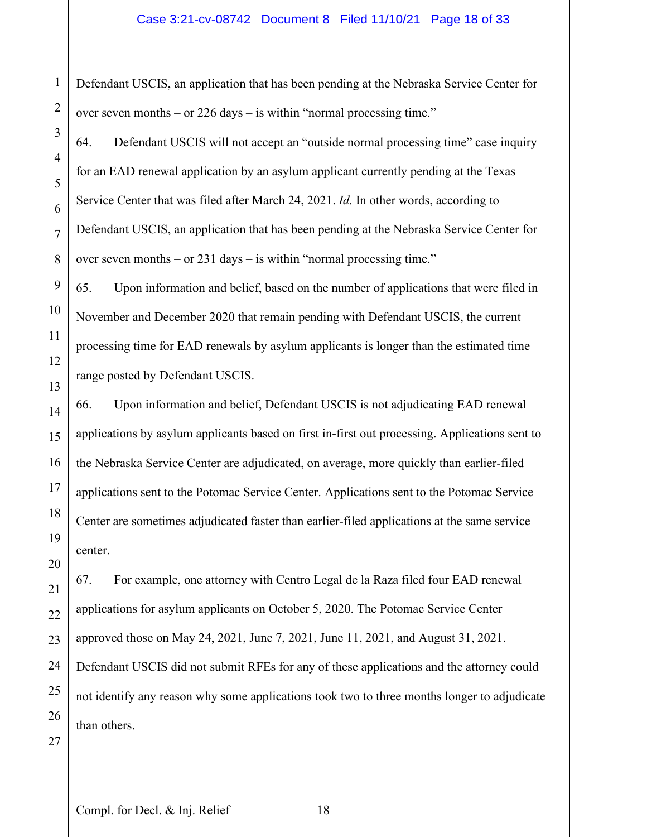## Case 3:21-cv-08742 Document 8 Filed 11/10/21 Page 18 of 33

1 Defendant USCIS, an application that has been pending at the Nebraska Service Center for over seven months – or 226 days – is within "normal processing time."

64. Defendant USCIS will not accept an "outside normal processing time" case inquiry for an EAD renewal application by an asylum applicant currently pending at the Texas Service Center that was filed after March 24, 2021. *Id.* In other words, according to Defendant USCIS, an application that has been pending at the Nebraska Service Center for over seven months – or 231 days – is within "normal processing time."

65. Upon information and belief, based on the number of applications that were filed in November and December 2020 that remain pending with Defendant USCIS, the current processing time for EAD renewals by asylum applicants is longer than the estimated time range posted by Defendant USCIS.

66. Upon information and belief, Defendant USCIS is not adjudicating EAD renewal applications by asylum applicants based on first in-first out processing. Applications sent to the Nebraska Service Center are adjudicated, on average, more quickly than earlier-filed applications sent to the Potomac Service Center. Applications sent to the Potomac Service Center are sometimes adjudicated faster than earlier-filed applications at the same service center.

67. For example, one attorney with Centro Legal de la Raza filed four EAD renewal applications for asylum applicants on October 5, 2020. The Potomac Service Center approved those on May 24, 2021, June 7, 2021, June 11, 2021, and August 31, 2021. Defendant USCIS did not submit RFEs for any of these applications and the attorney could not identify any reason why some applications took two to three months longer to adjudicate than others.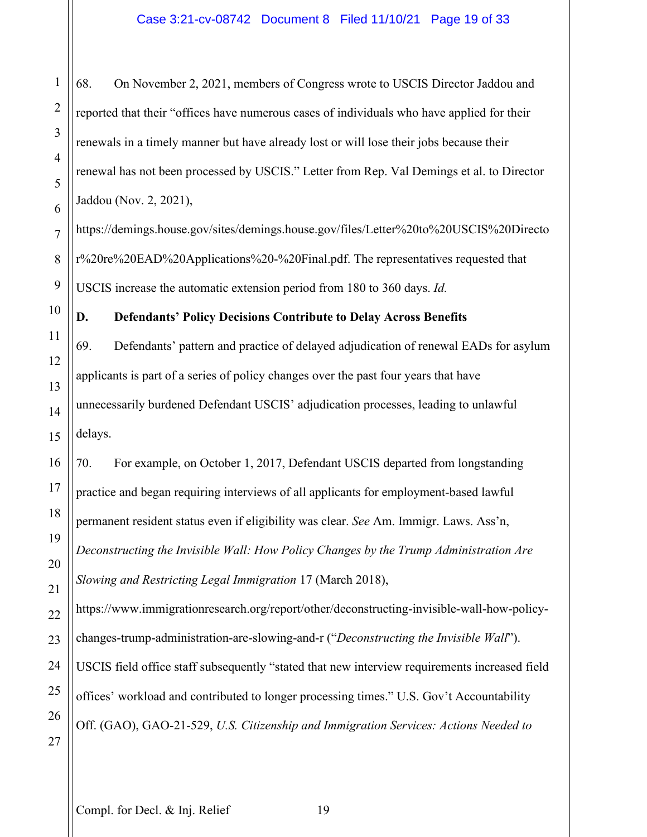68. On November 2, 2021, members of Congress wrote to USCIS Director Jaddou and reported that their "offices have numerous cases of individuals who have applied for their renewals in a timely manner but have already lost or will lose their jobs because their renewal has not been processed by USCIS." Letter from Rep. Val Demings et al. to Director Jaddou (Nov. 2, 2021),

https://demings.house.gov/sites/demings.house.gov/files/Letter%20to%20USCIS%20Directo r%20re%20EAD%20Applications%20-%20Final.pdf. The representatives requested that USCIS increase the automatic extension period from 180 to 360 days. *Id.*

**D. Defendants' Policy Decisions Contribute to Delay Across Benefits** 69. Defendants' pattern and practice of delayed adjudication of renewal EADs for asylum applicants is part of a series of policy changes over the past four years that have unnecessarily burdened Defendant USCIS' adjudication processes, leading to unlawful delays.

70. For example, on October 1, 2017, Defendant USCIS departed from longstanding practice and began requiring interviews of all applicants for employment-based lawful permanent resident status even if eligibility was clear. *See* Am. Immigr. Laws. Ass'n, *Deconstructing the Invisible Wall: How Policy Changes by the Trump Administration Are Slowing and Restricting Legal Immigration* 17 (March 2018),

https://www.immigrationresearch.org/report/other/deconstructing-invisible-wall-how-policychanges-trump-administration-are-slowing-and-r ("*Deconstructing the Invisible Wall*"). USCIS field office staff subsequently "stated that new interview requirements increased field offices' workload and contributed to longer processing times." U.S. Gov't Accountability Off. (GAO), GAO-21-529, *U.S. Citizenship and Immigration Services: Actions Needed to* 

1

2

3

4

5

6

7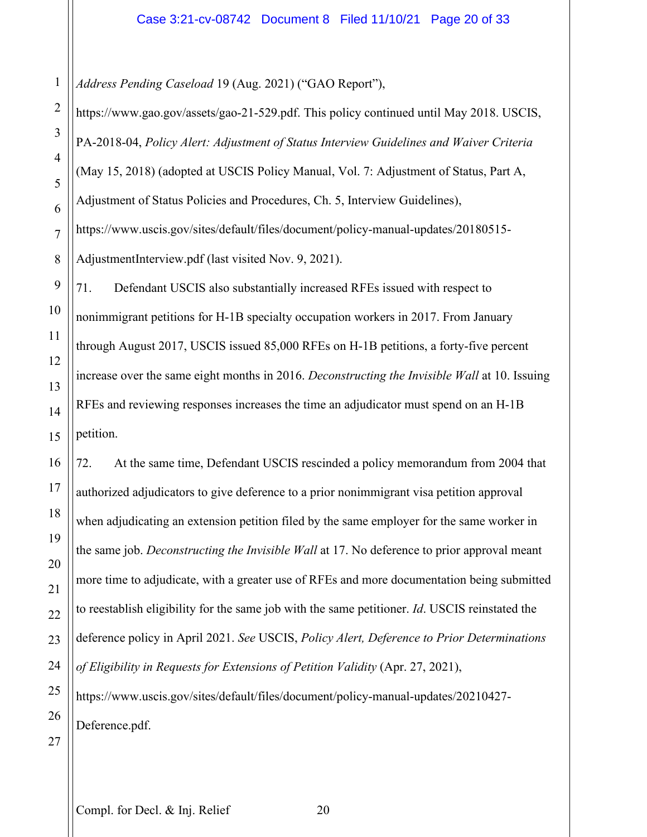1 *Address Pending Caseload* 19 (Aug. 2021) ("GAO Report"),

4 8 9 10 12 13 14 15 https://www.gao.gov/assets/gao-21-529.pdf. This policy continued until May 2018. USCIS, PA-2018-04, *Policy Alert: Adjustment of Status Interview Guidelines and Waiver Criteria* (May 15, 2018) (adopted at USCIS Policy Manual, Vol. 7: Adjustment of Status, Part A, Adjustment of Status Policies and Procedures, Ch. 5, Interview Guidelines), https://www.uscis.gov/sites/default/files/document/policy-manual-updates/20180515- AdjustmentInterview.pdf (last visited Nov. 9, 2021). 71. Defendant USCIS also substantially increased RFEs issued with respect to nonimmigrant petitions for H-1B specialty occupation workers in 2017. From January through August 2017, USCIS issued 85,000 RFEs on H-1B petitions, a forty-five percent increase over the same eight months in 2016. *Deconstructing the Invisible Wall* at 10. Issuing RFEs and reviewing responses increases the time an adjudicator must spend on an H-1B petition.

72. At the same time, Defendant USCIS rescinded a policy memorandum from 2004 that authorized adjudicators to give deference to a prior nonimmigrant visa petition approval when adjudicating an extension petition filed by the same employer for the same worker in the same job. *Deconstructing the Invisible Wall* at 17. No deference to prior approval meant more time to adjudicate, with a greater use of RFEs and more documentation being submitted to reestablish eligibility for the same job with the same petitioner. *Id*. USCIS reinstated the deference policy in April 2021. *See* USCIS, *Policy Alert, Deference to Prior Determinations of Eligibility in Requests for Extensions of Petition Validity* (Apr. 27, 2021), https://www.uscis.gov/sites/default/files/document/policy-manual-updates/20210427-

26 Deference.pdf.

27

2

3

5

6

7

11

16

17

18

19

20

21

22

23

24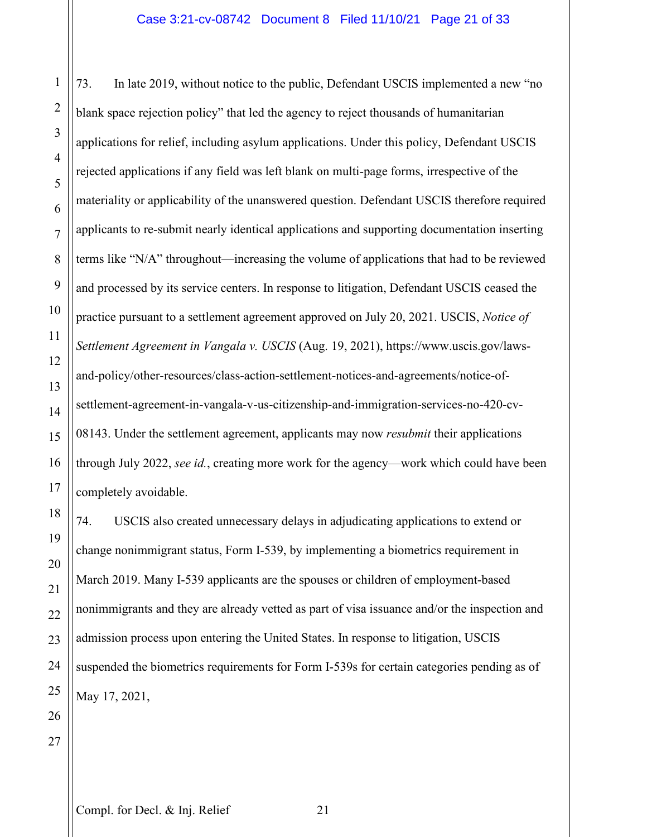73. In late 2019, without notice to the public, Defendant USCIS implemented a new "no blank space rejection policy" that led the agency to reject thousands of humanitarian applications for relief, including asylum applications. Under this policy, Defendant USCIS rejected applications if any field was left blank on multi-page forms, irrespective of the materiality or applicability of the unanswered question. Defendant USCIS therefore required applicants to re-submit nearly identical applications and supporting documentation inserting terms like "N/A" throughout—increasing the volume of applications that had to be reviewed and processed by its service centers. In response to litigation, Defendant USCIS ceased the practice pursuant to a settlement agreement approved on July 20, 2021. USCIS, *Notice of Settlement Agreement in Vangala v. USCIS* (Aug. 19, 2021), https://www.uscis.gov/lawsand-policy/other-resources/class-action-settlement-notices-and-agreements/notice-ofsettlement-agreement-in-vangala-v-us-citizenship-and-immigration-services-no-420-cv-08143. Under the settlement agreement, applicants may now *resubmit* their applications through July 2022, *see id.*, creating more work for the agency—work which could have been completely avoidable.

74. USCIS also created unnecessary delays in adjudicating applications to extend or change nonimmigrant status, Form I-539, by implementing a biometrics requirement in March 2019. Many I-539 applicants are the spouses or children of employment-based nonimmigrants and they are already vetted as part of visa issuance and/or the inspection and admission process upon entering the United States. In response to litigation, USCIS suspended the biometrics requirements for Form I-539s for certain categories pending as of May 17, 2021,

1

2

3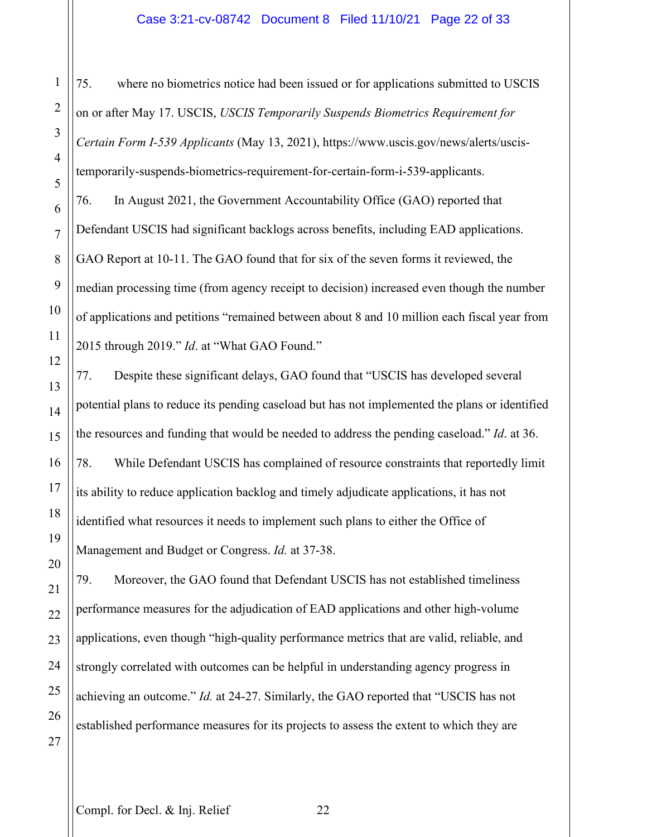## Case 3:21-cv-08742 Document 8 Filed 11/10/21 Page 22 of 33

75. where no biometrics notice had been issued or for applications submitted to USCIS on or after May 17. USCIS, *USCIS Temporarily Suspends Biometrics Requirement for Certain Form I-539 Applicants* (May 13, 2021), https://www.uscis.gov/news/alerts/uscistemporarily-suspends-biometrics-requirement-for-certain-form-i-539-applicants. 76. In August 2021, the Government Accountability Office (GAO) reported that Defendant USCIS had significant backlogs across benefits, including EAD applications. GAO Report at 10-11. The GAO found that for six of the seven forms it reviewed, the median processing time (from agency receipt to decision) increased even though the number of applications and petitions "remained between about 8 and 10 million each fiscal year from 2015 through 2019." *Id*. at "What GAO Found."

77. Despite these significant delays, GAO found that "USCIS has developed several potential plans to reduce its pending caseload but has not implemented the plans or identified the resources and funding that would be needed to address the pending caseload." *Id*. at 36. 78. While Defendant USCIS has complained of resource constraints that reportedly limit its ability to reduce application backlog and timely adjudicate applications, it has not identified what resources it needs to implement such plans to either the Office of Management and Budget or Congress. *Id.* at 37-38.

79. Moreover, the GAO found that Defendant USCIS has not established timeliness performance measures for the adjudication of EAD applications and other high-volume applications, even though "high-quality performance metrics that are valid, reliable, and strongly correlated with outcomes can be helpful in understanding agency progress in achieving an outcome." *Id.* at 24-27. Similarly, the GAO reported that "USCIS has not established performance measures for its projects to assess the extent to which they are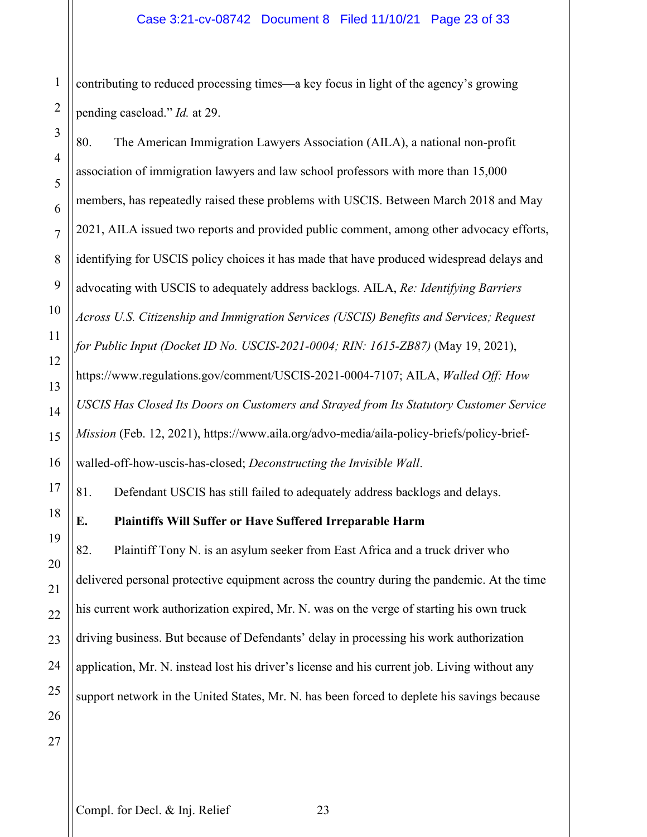1 2 contributing to reduced processing times—a key focus in light of the agency's growing pending caseload." *Id.* at 29.

80. The American Immigration Lawyers Association (AILA), a national non-profit association of immigration lawyers and law school professors with more than 15,000 members, has repeatedly raised these problems with USCIS. Between March 2018 and May 2021, AILA issued two reports and provided public comment, among other advocacy efforts, identifying for USCIS policy choices it has made that have produced widespread delays and advocating with USCIS to adequately address backlogs. AILA, *Re: Identifying Barriers Across U.S. Citizenship and Immigration Services (USCIS) Benefits and Services; Request for Public Input (Docket ID No. USCIS-2021-0004; RIN: 1615-ZB87)* (May 19, 2021), https://www.regulations.gov/comment/USCIS-2021-0004-7107; AILA, *Walled Off: How USCIS Has Closed Its Doors on Customers and Strayed from Its Statutory Customer Service Mission* (Feb. 12, 2021), https://www.aila.org/advo-media/aila-policy-briefs/policy-briefwalled-off-how-uscis-has-closed; *Deconstructing the Invisible Wall*. 81. Defendant USCIS has still failed to adequately address backlogs and delays.

# **E. Plaintiffs Will Suffer or Have Suffered Irreparable Harm**

82. Plaintiff Tony N. is an asylum seeker from East Africa and a truck driver who delivered personal protective equipment across the country during the pandemic. At the time his current work authorization expired, Mr. N. was on the verge of starting his own truck driving business. But because of Defendants' delay in processing his work authorization application, Mr. N. instead lost his driver's license and his current job. Living without any support network in the United States, Mr. N. has been forced to deplete his savings because

3

4

5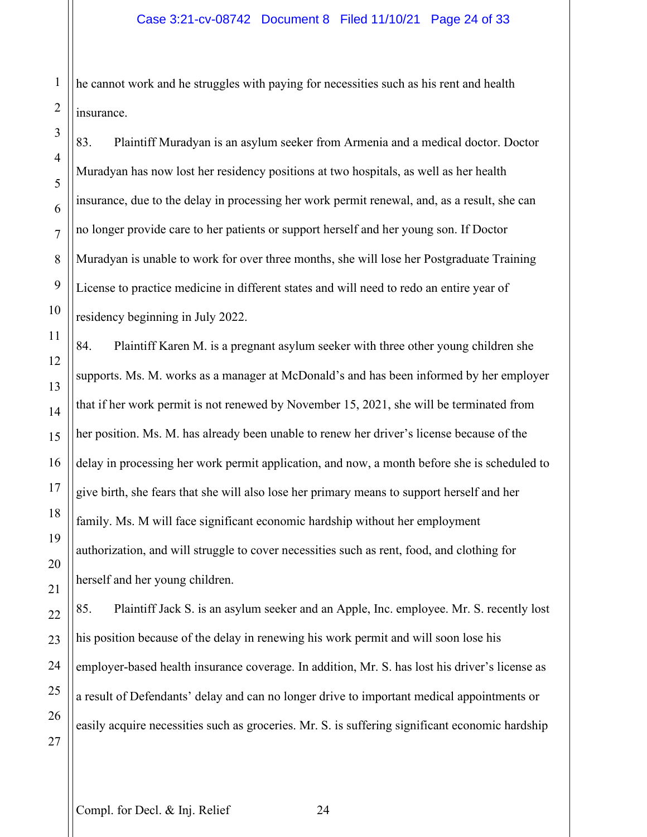he cannot work and he struggles with paying for necessities such as his rent and health insurance.

83. Plaintiff Muradyan is an asylum seeker from Armenia and a medical doctor. Doctor Muradyan has now lost her residency positions at two hospitals, as well as her health insurance, due to the delay in processing her work permit renewal, and, as a result, she can no longer provide care to her patients or support herself and her young son. If Doctor Muradyan is unable to work for over three months, she will lose her Postgraduate Training License to practice medicine in different states and will need to redo an entire year of residency beginning in July 2022.

84. Plaintiff Karen M. is a pregnant asylum seeker with three other young children she supports. Ms. M. works as a manager at McDonald's and has been informed by her employer that if her work permit is not renewed by November 15, 2021, she will be terminated from her position. Ms. M. has already been unable to renew her driver's license because of the delay in processing her work permit application, and now, a month before she is scheduled to give birth, she fears that she will also lose her primary means to support herself and her family. Ms. M will face significant economic hardship without her employment authorization, and will struggle to cover necessities such as rent, food, and clothing for herself and her young children.

85. Plaintiff Jack S. is an asylum seeker and an Apple, Inc. employee. Mr. S. recently lost his position because of the delay in renewing his work permit and will soon lose his employer-based health insurance coverage. In addition, Mr. S. has lost his driver's license as a result of Defendants' delay and can no longer drive to important medical appointments or easily acquire necessities such as groceries. Mr. S. is suffering significant economic hardship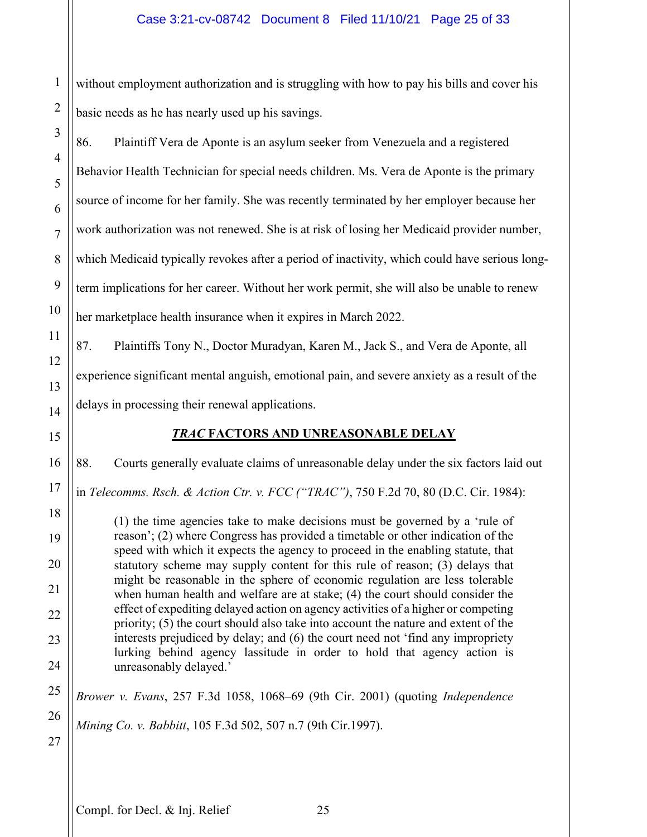1 2 without employment authorization and is struggling with how to pay his bills and cover his basic needs as he has nearly used up his savings.

86. Plaintiff Vera de Aponte is an asylum seeker from Venezuela and a registered Behavior Health Technician for special needs children. Ms. Vera de Aponte is the primary source of income for her family. She was recently terminated by her employer because her work authorization was not renewed. She is at risk of losing her Medicaid provider number, which Medicaid typically revokes after a period of inactivity, which could have serious longterm implications for her career. Without her work permit, she will also be unable to renew her marketplace health insurance when it expires in March 2022.

87. Plaintiffs Tony N., Doctor Muradyan, Karen M., Jack S., and Vera de Aponte, all experience significant mental anguish, emotional pain, and severe anxiety as a result of the delays in processing their renewal applications.

# *TRAC* **FACTORS AND UNREASONABLE DELAY**

88. Courts generally evaluate claims of unreasonable delay under the six factors laid out

in *Telecomms. Rsch. & Action Ctr. v. FCC ("TRAC")*, 750 F.2d 70, 80 (D.C. Cir. 1984):

(1) the time agencies take to make decisions must be governed by a 'rule of reason'; (2) where Congress has provided a timetable or other indication of the speed with which it expects the agency to proceed in the enabling statute, that statutory scheme may supply content for this rule of reason; (3) delays that might be reasonable in the sphere of economic regulation are less tolerable when human health and welfare are at stake; (4) the court should consider the effect of expediting delayed action on agency activities of a higher or competing priority; (5) the court should also take into account the nature and extent of the interests prejudiced by delay; and (6) the court need not 'find any impropriety lurking behind agency lassitude in order to hold that agency action is unreasonably delayed.'

*Brower v. Evans*, 257 F.3d 1058, 1068–69 (9th Cir. 2001) (quoting *Independence Mining Co. v. Babbitt*, 105 F.3d 502, 507 n.7 (9th Cir.1997).

3

4

5

6

7

8

9

10

11

12

13

14

15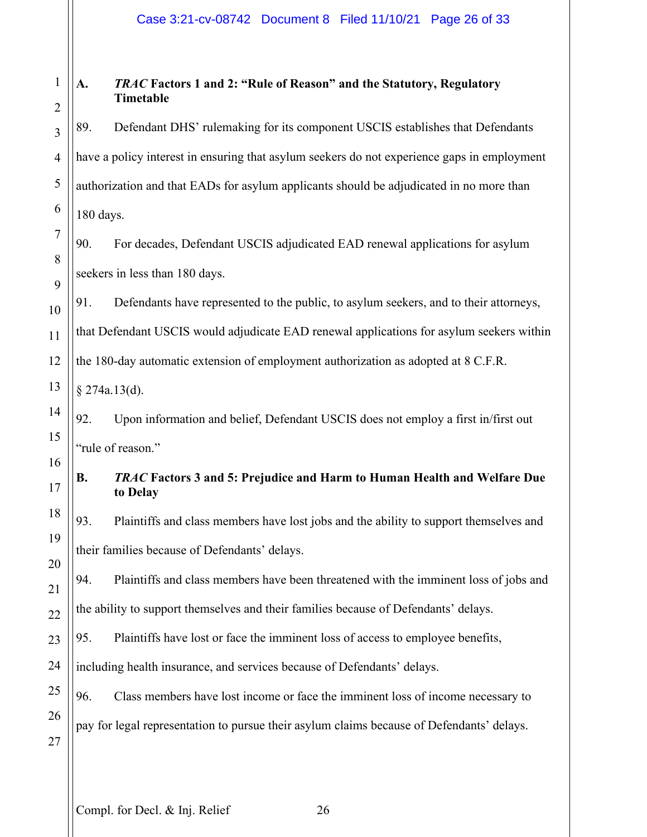## Case 3:21-cv-08742 Document 8 Filed 11/10/21 Page 26 of 33

#### 1 2 **A.** *TRAC* **Factors 1 and 2: "Rule of Reason" and the Statutory, Regulatory Timetable**

89. Defendant DHS' rulemaking for its component USCIS establishes that Defendants have a policy interest in ensuring that asylum seekers do not experience gaps in employment authorization and that EADs for asylum applicants should be adjudicated in no more than 180 days.

90. For decades, Defendant USCIS adjudicated EAD renewal applications for asylum seekers in less than 180 days.

91. Defendants have represented to the public, to asylum seekers, and to their attorneys, that Defendant USCIS would adjudicate EAD renewal applications for asylum seekers within the 180-day automatic extension of employment authorization as adopted at 8 C.F.R.

§ 274a.13(d).

92. Upon information and belief, Defendant USCIS does not employ a first in/first out "rule of reason."

## **B.** *TRAC* **Factors 3 and 5: Prejudice and Harm to Human Health and Welfare Due to Delay**

93. Plaintiffs and class members have lost jobs and the ability to support themselves and their families because of Defendants' delays.

94. Plaintiffs and class members have been threatened with the imminent loss of jobs and the ability to support themselves and their families because of Defendants' delays.

95. Plaintiffs have lost or face the imminent loss of access to employee benefits,

including health insurance, and services because of Defendants' delays.

96. Class members have lost income or face the imminent loss of income necessary to pay for legal representation to pursue their asylum claims because of Defendants' delays.

3

4

5

6

7

8

9

10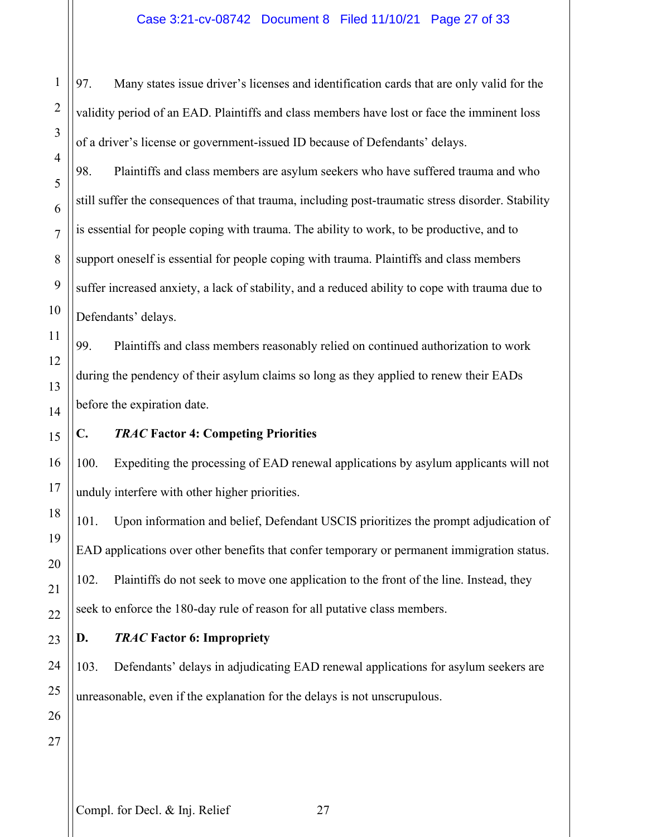## Case 3:21-cv-08742 Document 8 Filed 11/10/21 Page 27 of 33

97. Many states issue driver's licenses and identification cards that are only valid for the validity period of an EAD. Plaintiffs and class members have lost or face the imminent loss of a driver's license or government-issued ID because of Defendants' delays.

98. Plaintiffs and class members are asylum seekers who have suffered trauma and who still suffer the consequences of that trauma, including post-traumatic stress disorder. Stability is essential for people coping with trauma. The ability to work, to be productive, and to support oneself is essential for people coping with trauma. Plaintiffs and class members suffer increased anxiety, a lack of stability, and a reduced ability to cope with trauma due to Defendants' delays.

99. Plaintiffs and class members reasonably relied on continued authorization to work during the pendency of their asylum claims so long as they applied to renew their EADs before the expiration date.

## **C.** *TRAC* **Factor 4: Competing Priorities**

100. Expediting the processing of EAD renewal applications by asylum applicants will not unduly interfere with other higher priorities.

101. Upon information and belief, Defendant USCIS prioritizes the prompt adjudication of EAD applications over other benefits that confer temporary or permanent immigration status. 102. Plaintiffs do not seek to move one application to the front of the line. Instead, they seek to enforce the 180-day rule of reason for all putative class members.

## **D.** *TRAC* **Factor 6: Impropriety**

103. Defendants' delays in adjudicating EAD renewal applications for asylum seekers are unreasonable, even if the explanation for the delays is not unscrupulous.

1

2

3

4

5

6

7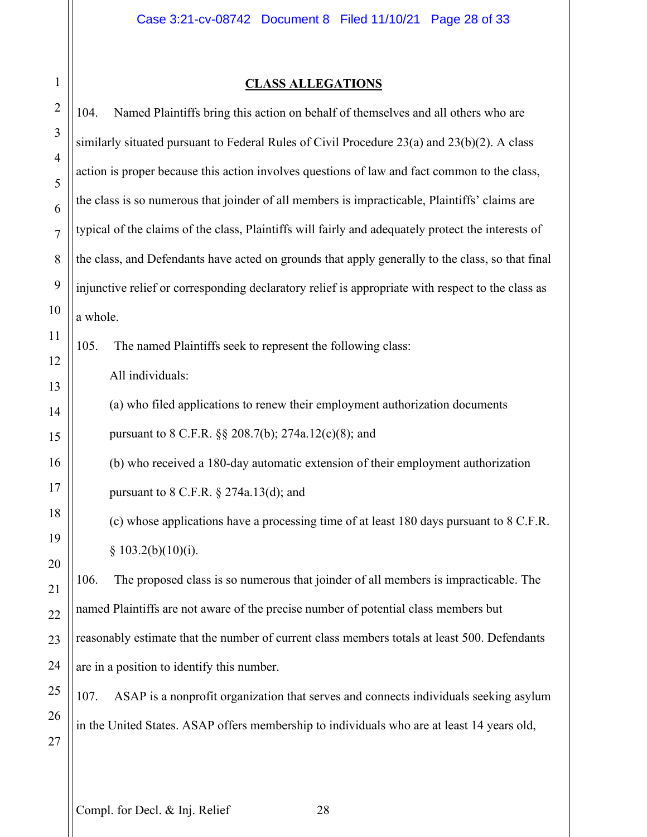# **CLASS ALLEGATIONS**

| $\overline{2}$   | Named Plaintiffs bring this action on behalf of themselves and all others who are<br>104.          |
|------------------|----------------------------------------------------------------------------------------------------|
| 3                | similarly situated pursuant to Federal Rules of Civil Procedure 23(a) and 23(b)(2). A class        |
| 4                | action is proper because this action involves questions of law and fact common to the class,       |
| 5<br>6           | the class is so numerous that joinder of all members is impracticable, Plaintiffs' claims are      |
| $\overline{7}$   | typical of the claims of the class, Plaintiffs will fairly and adequately protect the interests of |
| 8                | the class, and Defendants have acted on grounds that apply generally to the class, so that final   |
| 9                | injunctive relief or corresponding declaratory relief is appropriate with respect to the class as  |
| $\boldsymbol{0}$ | a whole.                                                                                           |
| $\mathbf{1}$     | 105.<br>The named Plaintiffs seek to represent the following class:                                |
| $\overline{2}$   | All individuals:                                                                                   |
| $\mathfrak{Z}$   | (a) who filed applications to renew their employment authorization documents                       |
| 4                | pursuant to 8 C.F.R. §§ 208.7(b); 274a.12(c)(8); and                                               |
| 5<br>6           | (b) who received a 180-day automatic extension of their employment authorization                   |
| $\overline{7}$   |                                                                                                    |
| 8                | pursuant to $8$ C.F.R. $\S$ 274a.13(d); and                                                        |
| 9                | (c) whose applications have a processing time of at least 180 days pursuant to 8 C.F.R.            |
| 20               | § 103.2(b)(10)(i).                                                                                 |
| $\overline{.1}$  | 106.<br>The proposed class is so numerous that joinder of all members is impracticable. The        |
| $2^{2}$          | named Plaintiffs are not aware of the precise number of potential class members but                |
| 23               | reasonably estimate that the number of current class members totals at least 500. Defendants       |
| $\frac{1}{4}$    | are in a position to identify this number.                                                         |
| 25               | ASAP is a nonprofit organization that serves and connects individuals seeking asylum<br>107.       |
| 26<br>7          | in the United States. ASAP offers membership to individuals who are at least 14 years old,         |
|                  |                                                                                                    |

1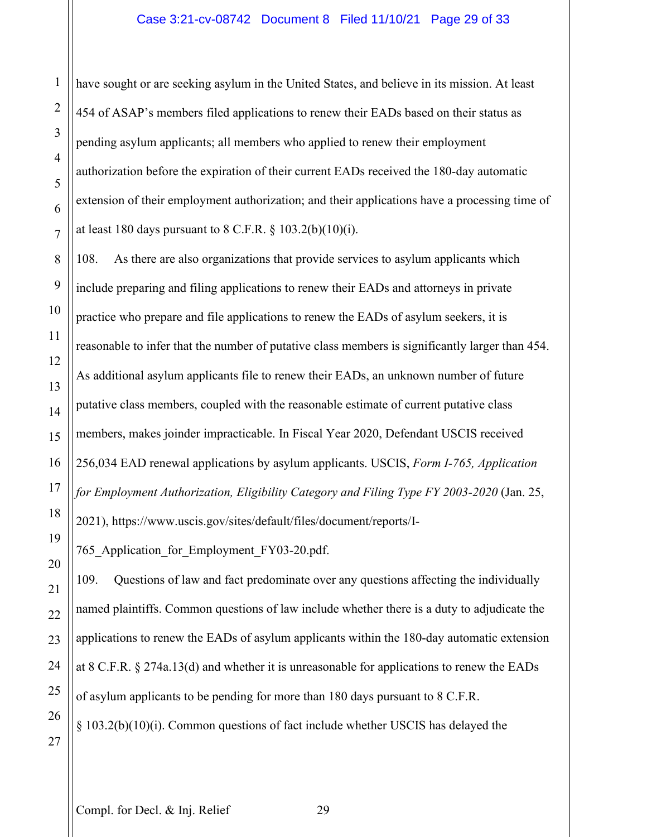have sought or are seeking asylum in the United States, and believe in its mission. At least 454 of ASAP's members filed applications to renew their EADs based on their status as pending asylum applicants; all members who applied to renew their employment authorization before the expiration of their current EADs received the 180-day automatic extension of their employment authorization; and their applications have a processing time of at least 180 days pursuant to  $8$  C.F.R.  $\frac{6}{9}$  103.2(b)(10)(i).

108. As there are also organizations that provide services to asylum applicants which include preparing and filing applications to renew their EADs and attorneys in private practice who prepare and file applications to renew the EADs of asylum seekers, it is reasonable to infer that the number of putative class members is significantly larger than 454. As additional asylum applicants file to renew their EADs, an unknown number of future putative class members, coupled with the reasonable estimate of current putative class members, makes joinder impracticable. In Fiscal Year 2020, Defendant USCIS received 256,034 EAD renewal applications by asylum applicants. USCIS, *Form I-765, Application for Employment Authorization, Eligibility Category and Filing Type FY 2003-2020* (Jan. 25, 2021), https://www.uscis.gov/sites/default/files/document/reports/I-

765 Application for Employment FY03-20.pdf.

109. Questions of law and fact predominate over any questions affecting the individually named plaintiffs. Common questions of law include whether there is a duty to adjudicate the applications to renew the EADs of asylum applicants within the 180-day automatic extension at 8 C.F.R. § 274a.13(d) and whether it is unreasonable for applications to renew the EADs of asylum applicants to be pending for more than 180 days pursuant to 8 C.F.R. § 103.2(b)(10)(i). Common questions of fact include whether USCIS has delayed the

1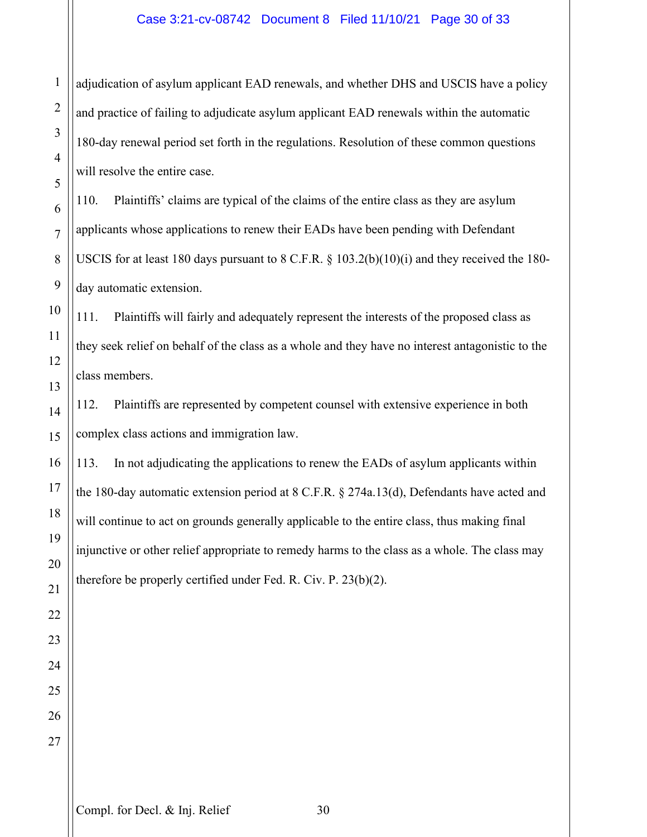## Case 3:21-cv-08742 Document 8 Filed 11/10/21 Page 30 of 33

adjudication of asylum applicant EAD renewals, and whether DHS and USCIS have a policy and practice of failing to adjudicate asylum applicant EAD renewals within the automatic 180-day renewal period set forth in the regulations. Resolution of these common questions will resolve the entire case.

110. Plaintiffs' claims are typical of the claims of the entire class as they are asylum applicants whose applications to renew their EADs have been pending with Defendant USCIS for at least 180 days pursuant to 8 C.F.R. § 103.2(b)(10)(i) and they received the 180 day automatic extension.

111. Plaintiffs will fairly and adequately represent the interests of the proposed class as they seek relief on behalf of the class as a whole and they have no interest antagonistic to the class members.

112. Plaintiffs are represented by competent counsel with extensive experience in both complex class actions and immigration law.

113. In not adjudicating the applications to renew the EADs of asylum applicants within the 180-day automatic extension period at 8 C.F.R. § 274a.13(d), Defendants have acted and will continue to act on grounds generally applicable to the entire class, thus making final injunctive or other relief appropriate to remedy harms to the class as a whole. The class may therefore be properly certified under Fed. R. Civ. P. 23(b)(2).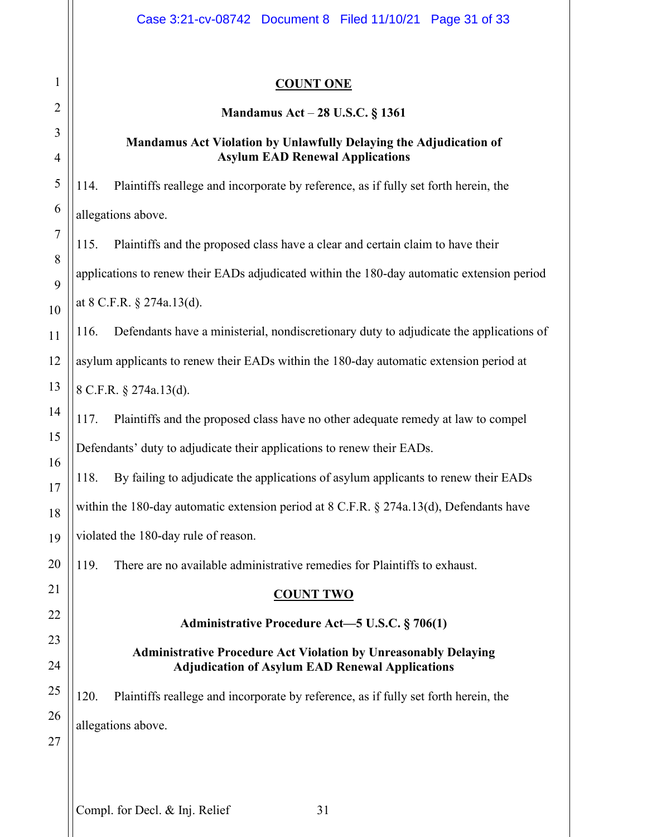## **COUNT ONE**

## **Mandamus Act** – **28 U.S.C. § 1361**

## **Mandamus Act Violation by Unlawfully Delaying the Adjudication of Asylum EAD Renewal Applications**

114. Plaintiffs reallege and incorporate by reference, as if fully set forth herein, the allegations above.

115. Plaintiffs and the proposed class have a clear and certain claim to have their applications to renew their EADs adjudicated within the 180-day automatic extension period at 8 C.F.R. § 274a.13(d).

116. Defendants have a ministerial, nondiscretionary duty to adjudicate the applications of asylum applicants to renew their EADs within the 180-day automatic extension period at 8 C.F.R. § 274a.13(d).

117. Plaintiffs and the proposed class have no other adequate remedy at law to compel Defendants' duty to adjudicate their applications to renew their EADs.

118. By failing to adjudicate the applications of asylum applicants to renew their EADs within the 180-day automatic extension period at 8 C.F.R. § 274a.13(d), Defendants have violated the 180-day rule of reason.

119. There are no available administrative remedies for Plaintiffs to exhaust.

## **COUNT TWO**

## **Administrative Procedure Act—5 U.S.C. § 706(1)**

## **Administrative Procedure Act Violation by Unreasonably Delaying Adjudication of Asylum EAD Renewal Applications**

120. Plaintiffs reallege and incorporate by reference, as if fully set forth herein, the allegations above.

1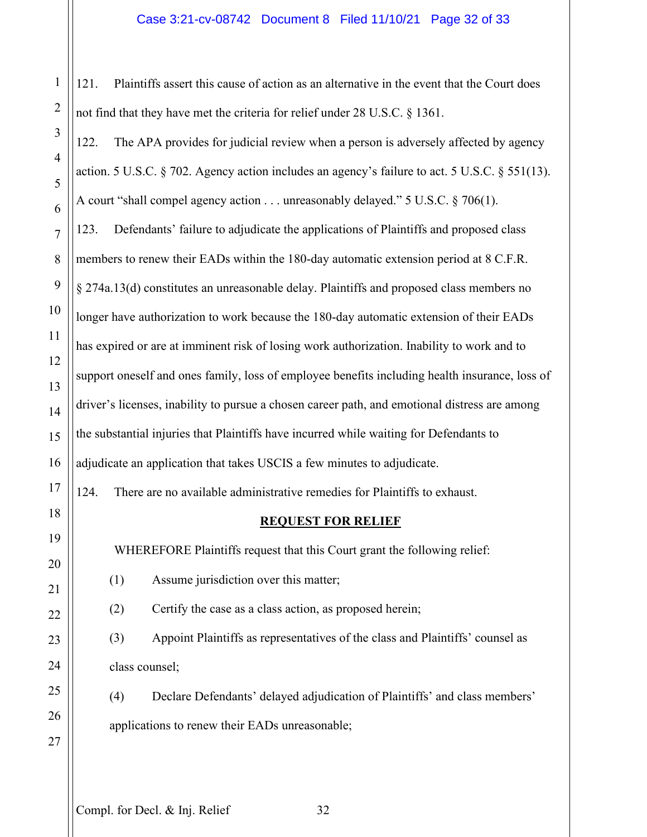## Case 3:21-cv-08742 Document 8 Filed 11/10/21 Page 32 of 33

121. Plaintiffs assert this cause of action as an alternative in the event that the Court does not find that they have met the criteria for relief under 28 U.S.C. § 1361.

3 4 5 6 7 8 9 10 11 12 13 14 15 16 17 18 19 20 21 22 122. The APA provides for judicial review when a person is adversely affected by agency action. 5 U.S.C. § 702. Agency action includes an agency's failure to act. 5 U.S.C. § 551(13). A court "shall compel agency action . . . unreasonably delayed." 5 U.S.C. § 706(1). 123. Defendants' failure to adjudicate the applications of Plaintiffs and proposed class members to renew their EADs within the 180-day automatic extension period at 8 C.F.R. § 274a.13(d) constitutes an unreasonable delay. Plaintiffs and proposed class members no longer have authorization to work because the 180-day automatic extension of their EADs has expired or are at imminent risk of losing work authorization. Inability to work and to support oneself and ones family, loss of employee benefits including health insurance, loss of driver's licenses, inability to pursue a chosen career path, and emotional distress are among the substantial injuries that Plaintiffs have incurred while waiting for Defendants to adjudicate an application that takes USCIS a few minutes to adjudicate. 124. There are no available administrative remedies for Plaintiffs to exhaust. **REQUEST FOR RELIEF** WHEREFORE Plaintiffs request that this Court grant the following relief: (1) Assume jurisdiction over this matter; (2) Certify the case as a class action, as proposed herein; (3) Appoint Plaintiffs as representatives of the class and Plaintiffs' counsel as class counsel; (4) Declare Defendants' delayed adjudication of Plaintiffs' and class members'

1

2

Compl. for Decl. & Inj. Relief 32

applications to renew their EADs unreasonable;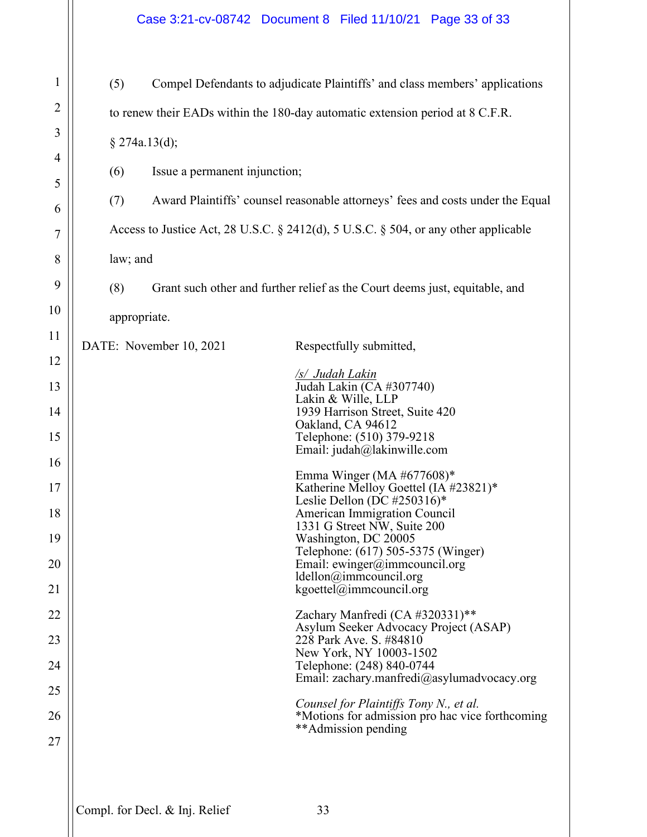1 2 3 4 5 6 7 8 9 10 11 12 13 14 15 16 17 18 19 20 21 22 23 24 25 26 27 (5) Compel Defendants to adjudicate Plaintiffs' and class members' applications to renew their EADs within the 180-day automatic extension period at 8 C.F.R. § 274a.13(d); (6) Issue a permanent injunction; (7) Award Plaintiffs' counsel reasonable attorneys' fees and costs under the Equal Access to Justice Act, 28 U.S.C. § 2412(d), 5 U.S.C. § 504, or any other applicable law; and (8) Grant such other and further relief as the Court deems just, equitable, and appropriate. DATE: November 10, 2021 Respectfully submitted, */s/ Judah Lakin* Judah Lakin (CA #307740) Lakin & Wille, LLP 1939 Harrison Street, Suite 420 Oakland, CA 94612 Telephone: (510) 379-9218 Email: judah@lakinwille.com Emma Winger (MA #677608)\* Katherine Melloy Goettel (IA #23821)\* Leslie Dellon (DC #250316)\* American Immigration Council 1331 G Street NW, Suite 200 Washington, DC 20005 Telephone: (617) 505-5375 (Winger) Email: ewinger@immcouncil.org ldellon@immcouncil.org kgoettel@immcouncil.org Zachary Manfredi (CA #320331)\*\* Asylum Seeker Advocacy Project (ASAP) 228 Park Ave. S. #84810 New York, NY 10003-1502 Telephone: (248) 840-0744 Email: zachary.manfredi@asylumadvocacy.org *Counsel for Plaintiffs Tony N., et al.*  \*Motions for admission pro hac vice forthcoming \*\*Admission pending